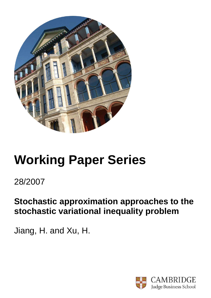

# **Working Paper Series**

# 28/2007

# **Stochastic approximation approaches to the stochastic variational inequality problem**

Jiang, H. and Xu, H.

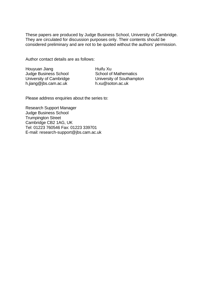These papers are produced by Judge Business School, University of Cambridge. They are circulated for discussion purposes only. Their contents should be considered preliminary and are not to be quoted without the authors' permission.

Author contact details are as follows:

Houyuan Jiang Judge Business School University of Cambridge h.jiang@jbs.cam.ac.uk

Huifu Xu School of Mathematics University of Southampton h.xu@soton.ac.uk

Please address enquiries about the series to:

Research Support Manager Judge Business School Trumpington Street Cambridge CB2 1AG, UK Tel: 01223 760546 Fax: 01223 339701 E-mail: research-support@jbs.cam.ac.uk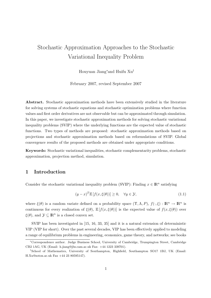# Stochastic Approximation Approaches to the Stochastic Variational Inequality Problem

Houyuan Jiang<sup>∗</sup>and Huifu Xu†

February 2007, revised September 2007

Abstract. Stochastic approximation methods have been extensively studied in the literature for solving systems of stochastic equations and stochastic optimization problems where function values and first order derivatives are not observable but can be approximated through simulation. In this paper, we investigate stochastic approximation methods for solving stochastic variational inequality problems (SVIP) where the underlying functions are the expected value of stochastic functions. Two types of methods are proposed: stochastic approximation methods based on projections and stochastic approximation methods based on reformulations of SVIP. Global convergence results of the proposed methods are obtained under appropriate conditions.

Keywords: Stochastic variational inequalities, stochastic complementarity problems, stochastic approximation, projection method, simulation.

### 1 Introduction

Consider the stochastic variational inequality problem (SVIP): Finding  $x \in \mathbb{R}^n$  satisfying

$$
(y-x)^T \mathbb{E}\left[f(x,\xi(\theta))\right] \ge 0, \quad \forall y \in \mathcal{Y},\tag{1.1}
$$

where  $\xi(\theta)$  is a random variate defined on a probability space  $(\Upsilon, \Lambda, P), f(\cdot, \xi) : \mathbb{R}^n \to \mathbb{R}^n$  is continuous for every realization of  $\xi(\theta)$ ,  $\mathbb{E}[f(x,\xi(\theta))]$  is the expected value of  $f(x,\xi(\theta))$  over  $\xi(\theta)$ , and  $\mathcal{Y} \subseteq \mathbb{R}^n$  is a closed convex set.

SVIP has been investigated in [15, 16, 33, 35] and it is a natural extension of deterministic VIP (VIP for short). Over the past several decades, VIP has been effectively applied to modeling a range of equilibrium problems in engineering, economics, game theory, and networks; see books

<sup>∗</sup>Correspondence author. Judge Business School, University of Cambridge, Trumpington Street, Cambridge CB2 1AG, UK (Email: h.jiang@jbs.cam.ac.uk Fax: +44 1223 339701).

<sup>†</sup>School of Mathematics, University of Southampton, Highfield, Southampton SO17 1BJ, UK (Email: H.Xu@soton.ac.uk Fax +44 23 80595147).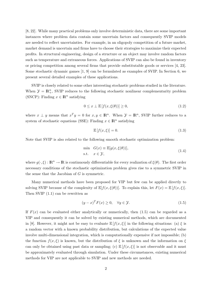[8, 22]. While many practical problems only involve deterministic data, there are some important instances where problem data contain some uncertain factors and consequently SVIP models are needed to reflect uncertainties. For example, in an oligopoly competition of a future market, market demand is uncertain and firms have to choose their strategies to maximize their expected profits. In structural engineering, design of a structure or an object may involve random factors such as temperature and extraneous forces. Applications of SVIP can also be found in inventory or pricing competition among several firms that provide substitutable goods or services [4, 23]. Some stochastic dynamic games [1, 9] can be formulated as examples of SVIP. In Section 6, we present several detailed examples of these applications.

SVIP is closely related to some other interesting stochastic problems studied in the literature. When  $\mathcal{Y} = \mathbb{R}^n_+$ , SVIP reduces to the following stochastic nonlinear complementarity problem (SNCP): Finding  $x \in \mathbb{R}^n$  satisfying

$$
0 \le x \perp \mathbb{E}\left[f(x,\xi(\theta))\right] \ge 0,\tag{1.2}
$$

where  $x \perp y$  means that  $x^T y = 0$  for  $x, y \in \mathbb{R}^n$ . When  $\mathcal{Y} = \mathbb{R}^n$ , SVIP further reduces to a system of stochastic equations (SSE): Finding  $x \in \mathbb{R}^n$  satisfying

$$
\mathbb{E}\left[f(x,\xi)\right] = 0.\tag{1.3}
$$

Note that SVIP is also related to the following smooth stochastic optimization problem:

$$
\min G(x) \equiv \mathbb{E}[g(x,\xi(\theta))],
$$
  
s.t.  $x \in \mathcal{Y},$  (1.4)

where  $g(\cdot,\xi): \mathbb{R}^n \to \mathbb{R}$  is continuously differentiable for every realization of  $\xi(\theta)$ . The first order necessary conditions of the stochastic optimization problem gives rise to a symmetric SVIP in the sense that the Jacobian of  $G$  is symmetric.

Many numerical methods have been proposed for VIP but few can be applied directly to solving SVIP because of the complexity of  $\mathbb{E}[f(x,\xi(\theta))]$ . To explain this, let  $F(x) = \mathbb{E}[f(x,\xi)].$ Then SVIP (1.1) can be rewritten as

$$
(y-x)^T F(x) \ge 0, \quad \forall y \in \mathcal{Y}.\tag{1.5}
$$

If  $F(x)$  can be evaluated either analytically or numerically, then (1.5) can be regarded as a VIP and consequently it can be solved by existing numerical methods, which are documented in [8]. However, it might not be easy to evaluate  $\mathbb{E}[f(x,\xi)]$  in the following situations: (a)  $\xi$  is a random vector with a known probability distribution, but calculations of the expected value involve multi-dimensional integration, which is computationally expensive if not impossible; (b) the function  $f(x,\xi)$  is known, but the distribution of  $\xi$  is unknown and the information on  $\xi$ can only be obtained using past data or sampling; (c)  $\mathbb{E}[f(x,\xi)]$  is not observable and it must be approximately evaluated through simulation. Under these circumstances, existing numerical methods for VIP are not applicable to SVIP and new methods are needed.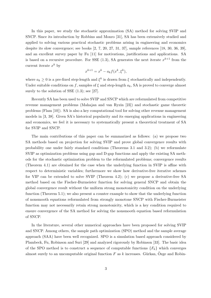In this paper, we study the stochastic approximation (SA) method for solving SVIP and SNCP. Since its introduction by Robbins and Monro [31], SA has been extensively studied and applied to solving various practical stochastic problems arising in engineering and economics despite its slow convergence; see books [2, 7, 20, 27, 31, 37], sample references [18, 30, 36, 39], and an excellent survey paper by Fu [11] for motivations, justifications and applications. SA is based on a recursive procedure. For SSE  $(1.3)$ , SA generates the next iterate  $x^{k+1}$  from the current iterate  $x^k$  by

$$
x^{k+1} = x^k - a_k f(x^k, \xi^k),
$$

where  $a_k \geq 0$  is a pre-fixed step-length and  $\xi^k$  is drawn from  $\xi$  stochastically and independently. Under suitable conditions on f, samples of  $\xi$  and step-length  $a_k$ , SA is proved to converge almost surely to the solution of SSE  $(1.3)$ ; see [27].

Recently SA has been used to solve SVIP and SNCP which are reformulated from competitive revenue management problems (Mahajan and van Ryzin [23]) and stochastic game theoretic problems (Flam [10]). SA is also a key computational tool for solving other revenue management models in [3, 38]. Given SA's historical popularity and its emerging applications in engineering and economics, we feel it is necessary to systematically present a theoretical treatment of SA for SVIP and SNCP.

The main contributions of this paper can be summarized as follows: (a) we propose two SA methods based on projection for solving SVIP and prove global convergence results with probability one under fairly standard conditions (Theorems 3.1 and 3.2); (b) we reformulate SVIP as optimization problems using gap and D-gap functions and apply the existing SA methods for the stochastic optimization problem to the reformulated problems; convergence results (Theorem 4.1) are obtained for the case when the underlying function in SVIP is affine with respect to deterministic variables; furthermore we show how derivative-free iterative schemes for VIP can be extended to solve SVIP (Theorem 4.2); (c) we propose a derivative-free SA method based on the Fischer-Burmeister function for solving general SNCP and obtain the global convergence result without the uniform strong monotonicity condition on the underlying function (Theorem 5.1); we also present a counter example to show that the underlying function of nonsmooth equations reformulated from strongly monotone SNCP with Fischer-Burmeister function may not necessarily retain strong monotonicity, which is a key condition required to ensure convergence of the SA method for solving the nonsmooth equation based reformulation of SNCP.

In the literature, several other numerical approaches have been proposed for solving SVIP and SNCP. Among others, the sample path optimization (SPO) method and the sample average approach (SAA) have been well recognized. SPO is a simulation based approach considered by Plambeck, Fu, Robinson and Suri [29] and analyzed rigorously by Robinson [33]. The basic idea of the SPO method is to construct a sequence of computable functions  ${F_k}$  which converges almost surely to an uncomputable original function F as k increases. Gürkan, Özge and Robin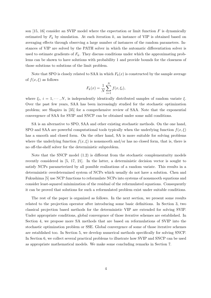son [15, 16] consider an SVIP model where the expectation or limit function  $F$  is dynamically estimated by  $F_k$  by simulation. At each iteration k, an instance of VIP is obtained based on averaging effects through observing a large number of instances of the random parameters. Instances of VIP are solved by the PATH solver in which the automatic differentiation solver is used to estimate gradients of  $F_k$ . They discuss conditions under which the approximating problems can be shown to have solutions with probability 1 and provide bounds for the closeness of those solutions to solutions of the limit problem.

Note that SPO is closely related to SAA in which  $F_k(x)$  is constructed by the sample average of  $f(x,\xi)$  as follows

$$
F_k(x) = \frac{1}{N} \sum_{i=1}^{N} f(x, \xi_i),
$$

where  $\xi_i$ ,  $i = 1, \dots, N$ , is independently identically distributed samples of random variate  $\xi$ . Over the past few years, SAA has been increasingly studied for the stochastic optimization problem; see Shapiro in [35] for a comprehensive review of SAA. Note that the exponential convergence of SAA for SVIP and SNCP can be obtained under some mild conditions.

SA is an alternative to SPO, SAA and other existing stochastic methods. On the one hand, SPO and SAA are powerful computational tools typically when the underlying function  $f(x,\xi)$ has a smooth and closed form. On the other hand, SA is more suitable for solving problems where the underlying function  $f(x, \xi)$  is nonsmooth and/or has no closed form, that is, there is no off-the-shelf solver for the deterministic subproblem.

Note that the SNCP model (1.2) is different from the stochastic complementarity models recently considered in [5, 17, 21]. In the latter, a deterministic decision vector is sought to satisfy NCPs parameterized by all possible realizations of a random variate. This results in a deterministic overdetermined system of NCPs which usually do not have a solution. Chen and Fukushima [5] use NCP functions to reformulate NCPs into systems of nonsmooth equations and consider least-squared minimization of the residual of the reformulated equations. Consequently it can be proved that solutions for such a reformulated problem exist under suitable conditions.

The rest of the paper is organized as follows. In the next section, we present some results related to the projection operator after introducing some basic definitions. In Section 3, two classical projection based methods for the deterministic VIP are extended for solving SVIP. Under appropriate conditions, global convergence of those iterative schemes are established. In Section 4, we propose more SA methods that are based on reformulations of SVIP into the stochastic optimization problem or SSE. Global convergence of some of those iterative schemes are established too. In Section 5, we develop numerical methods specifically for solving SNCP. In Section 6, we collect several practical problems to illustrate how SVIP and SNCP can be used as appropriate mathematical models. We make some concluding remarks in Section 7.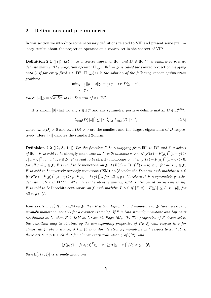## 2 Definitions and preliminaries

In this section we introduce some necessary definitions related to VIP and present some preliminary results about the projection operator on a convex set in the context of VIP.

**Definition 2.1** ([8]) Let Y be a convex subset of  $\mathbb{R}^n$  and  $D \in \mathbb{R}^{n \times n}$  a symmetric positive definite matrix. The projection operator  $\Pi_{\mathcal{Y},D} : \mathbb{R}^n \to \mathcal{Y}$  is called the skewed projection mapping onto Y if for every fixed  $x \in \mathbb{R}^n$ ,  $\Pi_{\mathcal{Y},D}(x)$  is the solution of the following convex optimization problem:

$$
\min_{y} \frac{1}{2} \|y - x\|_{D}^{2} \equiv \frac{1}{2}(y - x)^{T} D(y - x),
$$
  
s.t.  $y \in \mathcal{Y},$ 

where  $||s||_D =$ √  $\overline{s^T D s}$  is the D-norm of  $s \in \mathbb{R}^n$ .

It is known [8] that for any  $s \in \mathbb{R}^n$  and any symmetric positive definite matrix  $D \in \mathbb{R}^{n \times n}$ ,

$$
\lambda_{\min}(D) \|s\|^2 \le \|s\|_D^2 \le \lambda_{\max}(D) \|s\|^2,\tag{2.6}
$$

where  $\lambda_{\min}(D) > 0$  and  $\lambda_{\max}(D) > 0$  are the smallest and the largest eigenvalues of D respectively. Here  $\|\cdot\|$  denotes the standard 2-norm.

**Definition 2.2** ([2, 8, 14]) Let the function F be a mapping from  $\mathbb{R}^n$  to  $\mathbb{R}^n$  and Y a subset of  $\mathbb{R}^n$ . F is said to be strongly monotone on Y with modulus  $\sigma > 0$  if  $(F(x) - F(y))^T(x - y) \ge$  $\sigma \|x-y\|^2$  for all  $x, y \in \mathcal{Y}$ ; F is said to be strictly monotone on  $\mathcal{Y}$  if  $(F(x) - F(y))^T(x - y) > 0$ , for all  $x \neq y \in \mathcal{Y}$ ; F is said to be monotone on  $\mathcal{Y}$  if  $(F(x) - F(y))^T(x - y) \geq 0$ , for all  $x, y \in \mathcal{Y}$ ; F is said to be inversely strongly monotone (ISM) on Y under the D-norm with modulus  $\mu > 0$ if  $(F(x) - F(y))^T(x - y) \ge \mu ||F(x) - F(y)||_D^2$ , for all  $x, y \in \mathcal{Y}$ , where D is a symmetric positive definite matrix in  $\mathbb{R}^{n \times n}$ . When D is the identity matrix, ISM is also called co-coercive in [8]. F is said to be Lipschitz continuous on Y with modulus  $L > 0$  if  $||F(x) - F(y)|| \le L||x - y||$ , for all  $x, y \in \mathcal{Y}$ .

**Remark 2.1** (a) If F is ISM on  $\mathcal{Y}$ , then F is both Lipschitz and monotone on  $\mathcal{Y}$  (not necessarily strongly monotone; see [14] for a counter example). If F is both strongly monotone and Lipschitz continuous on  $\mathcal Y$ , then F is ISM on  $\mathcal Y$ ; see [8, Page 164]. (b) The properties of F described in the definition may be obtained by the corresponding properties of  $f(x,\xi)$  with respect to x for almost all  $\xi$ . For instance, if  $f(x,\xi)$  is uniformly strongly monotone with respect to x, that is, there exists  $\sigma > 0$  such that for almost every realization  $\xi$  of  $\xi(\theta)$ , and

$$
(f(y,\xi) - f(x,\xi))^T (y-x) \ge \sigma \|y-x\|^2, \forall \xi, x, y \in \mathcal{Y},
$$

then  $\mathbb{E}[f(x,\xi)]$  is strongly monotone.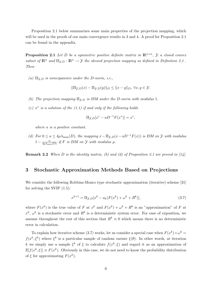Proposition 2.1 below summarizes some main properties of the projection mapping, which will be used in the proofs of our main convergence results in 3 and 4. A proof for Proposition 2.1 can be found in the appendix.

**Proposition 2.1** Let D be a symmetric positive definite matrix in  $\mathbb{R}^{n \times n}$ , Y a closed convex subset of  $\mathbb{R}^n$  and  $\Pi_{\mathcal{Y},D} : \mathbb{R}^n \to \mathcal{Y}$  the skewed projection mapping as defined in Definition 2.1. Then

(a)  $\Pi_{\mathcal{Y},D}$  is nonexpansive under the D-norm, i.e.,

$$
\|\Pi_{\mathcal{Y},D}(x) - \Pi_{\mathcal{Y},D}(y)\|_{D} \le \|x - y\|_{D}, \ \forall x, y \in \mathcal{Y}.
$$

- (b) The projection mapping  $\Pi_{\mathcal{V},D}$  is ISM under the D-norm with modulus 1.
- (c)  $x^*$  is a solution of the (1.1) if and only if the following holds

$$
\Pi_{\mathcal{Y},D}[x^* - aD^{-1}F(x^*)] = x^*,
$$

where a is a positive constant.

(d) For  $0 \le a \le 4\mu\lambda_{\max}(D)$ , the mapping  $x-\Pi_{\mathcal{Y},D}(x-aD^{-1}F(x))$  is ISM on  $\mathcal Y$  with modulus  $1-\frac{a}{4a\lambda}$  $\frac{a}{4\mu\lambda_{\min}(D)}$  if F is ISM on Y with modulus  $\mu$ .

**Remark 2.2** When D is the identity matrix, (b) and (d) of Proposition 2.1 are proved in  $[14]$ .

# 3 Stochastic Approximation Methods Based on Projections

We consider the following Robbins-Monro type stochastic approximation (iterative) scheme [31] for solving the SVIP (1.5):

$$
x^{k+1} = \Pi_{\mathcal{Y},D} [x^k - a_k (F(x^k) + \omega^k + R^k)],
$$
\n(3.7)

where  $F(x^k)$  is the true value of F at  $x^k$  and  $F(x^k) + \omega^k + R^k$  is an "approximation" of F at  $x^k$ ,  $\omega^k$  is a stochastic error and  $R^k$  is a deterministic system error. For ease of exposition, we assume throughout the rest of this section that  $R^k \equiv 0$  which means there is no deterministic error in calculation.

To explain how iterative scheme (3.7) works, let us consider a special case when  $F(x^k) + \omega^k =$  $f(x^k, \xi^k)$  where  $\xi^k$  is a particular sample of random variate  $\xi(\theta)$ . In other words, at iteration k we simply use a sample  $\xi^k$  of  $\xi$  to calculate  $f(x^k, \xi)$  and regard it as an approximation of  $\mathbb{E}[f(x^k, \xi)] \equiv F(x^k)$ . Obviously in this case, we do not need to know the probability distribution of  $\xi$  for approximating  $F(x^k)$ .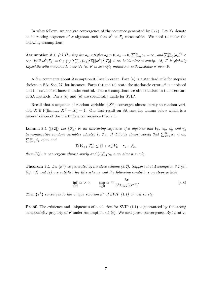In what follows, we analyze convergence of the sequence generated by  $(3.7)$ . Let  $\mathcal{F}_k$  denote an increasing sequence of  $\sigma$ -algebras such that  $x^k$  is  $\mathcal{F}_k$  measurable. We need to make the following assumptions.

**Assumption 3.1** (a) The stepsize  $a_k$  satisfies  $a_k > 0$ ,  $a_k \to 0$ ,  $\sum_{k=0}^{\infty} a_k = \infty$ , and  $\sum_{k=0}^{\infty} (a_k)^2$  $\infty$ ; (b)  $\mathbb{E}[\omega^k|\mathcal{F}_k] = 0$ ; (c)  $\sum_{k=1}^{\infty} (a_k)^2 \mathbb{E}[\|w^k\|^2|\mathcal{F}_k] < \infty$  holds almost surely. (d) F is globally Lipschitz with modulus L over  $\mathcal{Y}$ ; (e) F is strongly monotone with modulus  $\sigma$  over  $\mathcal{Y}$ .

A few comments about Assumption 3.1 are in order. Part (a) is a standard rule for stepsize choices in SA. See [27] for instance. Parts (b) and (c) state the stochastic error  $\omega^k$  is unbiased and the scale of variance is under control. These assumptions are also standard in the literature of SA methods. Parts (d) and (e) are specifically made for SVIP.

Recall that a sequence of random variables  $\{X^k\}$  converges almost surely to random variable X if  $P(\lim_{n\to\infty} X^k = X) = 1$ . Our first result on SA uses the lemma below which is a generalization of the martingale convergence theorem.

**Lemma 3.1 ([32])** Let  $\{\mathcal{F}_k\}$  be an increasing sequence of  $\sigma$ -algebras and  $V_k$ ,  $\alpha_k$ ,  $\beta_k$  and  $\gamma_k$ be nonnegative random variables adapted to  $\mathcal{F}_k$ . If it holds almost surely that  $\sum_{k=1}^{\infty} \alpha_k < \infty$ ,  $\sum_{k=1}^{\infty} \beta_k < \infty$  and

 $\mathbb{E}(V_{k+1}|\mathcal{F}_k) \leq (1+\alpha_k)V_k - \gamma_k + \beta_k,$ 

then  $\{V_k\}$  is convergent almost surely and  $\sum_{k=1}^{\infty} \gamma_k < \infty$  almost surely.

**Theorem 3.1** Let  $\{x^k\}$  be generated by iterative scheme (3.7). Suppose that Assumption 3.1 (b),  $(c)$ ,  $(d)$  and  $(e)$  are satisfied for this scheme and the following conditions on stepsize hold

$$
\inf_{k \ge 0} a_k > 0, \qquad \sup_{k \ge 0} a_k \le \frac{2\sigma}{L^2 \lambda_{\max}(D^{-1})}.
$$
\n(3.8)

Then  $\{x^k\}$  converges to the unique solution  $x^*$  of SVIP (1.1) almost surely.

**Proof.** The existence and uniqueness of a solution for SVIP  $(1.1)$  is guaranteed by the strong monotonicity property of  $F$  under Assumption 3.1 (e). We next prove convergence. By iterative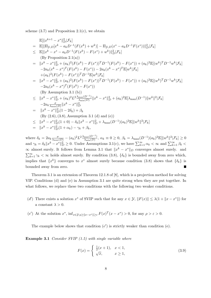scheme  $(3.7)$  and Proposition 2.1 $(c)$ , we obtain

$$
\mathbb{E}[\|\mathbf{x}^{k+1} - \mathbf{x}^* \|_D^2 | \mathcal{F}_k]
$$
\n
$$
= \mathbb{E}[\|\Pi_{\mathcal{Y},D}[\mathbf{x}^k - a_k D^{-1}(F(\mathbf{x}^k) + w^k)] - \Pi_{\mathcal{Y},D}(\mathbf{x}^* - a_k D^{-1}F(\mathbf{x}^*))\|_D^2 | \mathcal{F}_k]
$$
\n
$$
\leq \mathbb{E}[\|\mathbf{x}^k - \mathbf{x}^* - a_k D^{-1}(F(\mathbf{x}^k) - F(\mathbf{x}^*) + w^k)\|_D^2 | \mathcal{F}_k]
$$
\n
$$
(\text{By Proposition 2.1(a)})
$$
\n
$$
= \|\mathbf{x}^k - \mathbf{x}^*\|_D^2 + (a_k)^2 (F(\mathbf{x}^k) - F(\mathbf{x}^*))^T D^{-1}(F(\mathbf{x}^k) - F(\mathbf{x}^*)) + (a_k)^2 \mathbb{E}[(w^k)^T D^{-1} w^k | \mathcal{F}_k]
$$
\n
$$
-2a_k (\mathbf{x}^k - \mathbf{x}^*)^T (F(\mathbf{x}^k) - F(\mathbf{x}^*)) - 2a_k (\mathbf{x}^k - \mathbf{x}^*)^T \mathbb{E}[w^k | \mathcal{F}_k]
$$
\n
$$
+ (a_k)^2 (F(\mathbf{x}^k) - F(\mathbf{x}^*))^T D^{-1} \mathbb{E}[w^k | \mathcal{F}_k]
$$
\n
$$
= \|\mathbf{x}^k - \mathbf{x}^*\|_D^2 + (a_k)^2 (F(\mathbf{x}^k) - F(\mathbf{x}^*))^T D^{-1}(F(\mathbf{x}^k) - F(\mathbf{x}^*)) + (a_k)^2 \mathbb{E}[(w^k)^T D^{-1} w^k | \mathcal{F}_k]
$$
\n
$$
-2a_k (\mathbf{x}^k - \mathbf{x}^*)^T (F(\mathbf{x}^k) - F(\mathbf{x}^*))
$$
\n
$$
(\text{By Assumption 3.1 (b)})
$$
\n
$$
\leq \|\mathbf{x}^k - \mathbf{x}^*\|_D^2 + (a_k)^2 L^2 \frac{\lambda_{\text{max}}(D^{-1})}{\lambda_{\text{min}}(D)} \|\
$$

where  $\delta_k = 2a_k \frac{\sigma}{\lambda_{\max}(D)} - (a_k)^2 L^2 \frac{\lambda_{\max}(D^{-1})}{\lambda_{\min}(D)}$  $\frac{\max(D^{-1})}{\lambda_{\min}(D)}, \ \alpha_k \equiv 0 \ge 0, \ \beta_k = \lambda_{\max}(D^{-1})(a_k)^2 \mathbb{E}[\|w^k\|^2 | \mathcal{F}_k] \ge 0$ and  $\gamma_k = \delta_k ||x^k - x^*||_D^2 \ge 0$ . Under Assumptions 3.1(c), we have  $\sum_{k=1}^{\infty} \alpha_k < \infty$  and  $\sum_{k=1}^{\infty} \beta_k <$  $\infty$  almost surely. It follows from Lemma 3.1 that  $||x^k - x^*||_D$  converges almost surely. and  $\sum_{k=1}^{\infty} \gamma_k < \infty$  holds almost surely. By condition (3.8),  $\{\delta_k\}$  is bounded away from zero which, implies that  $\{x^k\}$  converges to  $x^*$  almost surely because condition (3.8) shows that  $\{\delta_k\}$  is bounded away from zero.  $\blacksquare$ 

Theorem 3.1 is an extension of Theorem 12.1.8 of [8], which is a projection method for solving VIP. Conditions (d) and (e) in Assumption 3.1 are quite strong when they are put together. In what follows, we replace these two conditions with the following two weaker conditions.

- (d') There exists a solution x<sup>\*</sup> of SVIP such that for any  $x \in \mathcal{Y}$ ,  $||F(x)|| \leq \lambda(1 + ||x x^*||)$  for a constant  $\lambda > 0$ .
- (e') At the solution  $x^*$ ,  $\inf_{x \in \mathcal{Y} : \rho \ge ||x-x^*|| \ge \varepsilon} F(x)^T (x x^*) > 0$ , for any  $\rho > \varepsilon > 0$ .

The example below shows that condition  $(e')$  is strictly weaker than condition  $(e)$ .

Example 3.1 Consider SVIP (1.5) with single variable where

$$
F(x) = \begin{cases} \frac{1}{2}(x+1), & x < 1, \\ \sqrt{x}, & x \ge 1, \end{cases}
$$
 (3.9)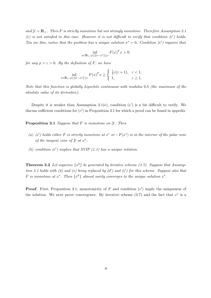and  $\mathcal{Y} = \mathbb{R}_+$ . Then F is strictly monotone but not strongly monotone. Therefore Assumption 3.1 (e) is not satisfied in this case. However it is not difficult to verify that condition  $(e')$  holds. Too see this, notice that the problem has a unique solution  $x^* = 0$ . Condition (e') requires that

$$
\inf_{x \in \mathbb{R}_+ : \rho \ge ||x - x^*|| \ge \varepsilon} F(x)^T x > 0.
$$

for any  $\rho > \varepsilon > 0$ . By the definition of F, we have

$$
\inf_{x \in \mathbb{R}_+ : \rho \ge \|x - x^*\| \ge \varepsilon} F(x)^T x \ge \begin{cases} \frac{1}{2}\varepsilon(\varepsilon + 1), & \varepsilon < 1, \\ 1, & \varepsilon \ge 1. \end{cases}
$$

Note that this function is globally Lipschitz continuous with modulus 0.5 (the maximum of the absolute value of its derivative).

Despite it is weaker than Assumption 3.1(e), condition  $(e')$  is a bit difficult to verify. We discuss sufficient conditions for  $(e')$  in Proposition 3.1 for which a proof can be found in appedix.

**Proposition 3.1** Suppose that  $F$  is monotone on  $\mathcal{Y}$ . Then

- (a) (e') holds either F is strictly monotone at  $x^*$  or  $-F(x^*)$  is in the interior of the polar cone of the tangent cone of  $\mathcal Y$  at  $x^*$ ;
- (b) condition  $(e')$  implies that SVIP  $(1.1)$  has a unique solution.

**Theorem 3.2** Let sequence  $\{x^k\}$  be generated by iterative scheme (3.7). Suppose that Assumption 3.1 holds with (d) and (e) being replaced by  $(d')$  and (e') for this scheme. Suppose also that F is monotone at  $x^*$ . Then  $\{x^k\}$  almost surely converges to the unique solution  $x^*$ .

**Proof.** First, Proposition 3.1, monotonicity of F and condition  $(e')$  imply the uniqueness of the solution. We next prove convergence. By iterative scheme  $(3.7)$  and the fact that  $x^*$  is a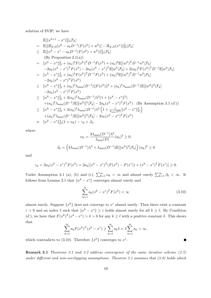solution of SVIP, we have

$$
\mathbb{E}[\|x^{k+1} - x^*\|^2] \mathcal{F}_k]
$$
\n
$$
\mathbb{E}[\| \Pi_{y,D}[x^k - a_k D^{-1}(F(x^k) + w^k)] - \Pi_{y,D}(x^*) \|^2] \mathcal{F}_k]
$$
\n
$$
\leq \mathbb{E}[\|x^k - x^* - a_k D^{-1}(F(x^k) + w^k)\|^2] \mathcal{F}_k]
$$
\n
$$
\text{(By Proposition 2.1(a))}
$$
\n
$$
= \|x^k - x^*\|^2_D + (a_k)^2 F(x^k)^T D^{-1} F(x^k) + (a_k)^2 \mathbb{E}[(w^k)^T D^{-1} w^k | \mathcal{F}_k]
$$
\n
$$
-2a_k (x^k - x^*)^T F(x^k) - 2a_k (x^k - x^*)^T \mathbb{E}[w^k | \mathcal{F}_k] + 2(a_k)^2 F(x^k)^T D^{-1} \mathbb{E}[w^k | \mathcal{F}_k]
$$
\n
$$
= \|x^k - x^*\|^2_D + (a_k)^2 F(x^k)^T D^{-1} F(x^k) + (a_k)^2 \mathbb{E}[(w^k)^T D^{-1} w^k | \mathcal{F}_k]
$$
\n
$$
-2a_k (x^k - x^*)^T F(x^k)
$$
\n
$$
\leq \|x^k - x^*\|^2_D + (a_k)^2 \lambda_{\max}(D^{-1}) \|F(x^k)\|^2 + (a_k)^2 \lambda_{\max}(D^{-1}) \mathbb{E}[\|w^k\|^2 | \mathcal{F}_k]
$$
\n
$$
-2a_k (x^k - x^*)^T F(x^k)
$$
\n
$$
\leq \|x^k - x^*\|^2_D + 3(a_k)^2 \lambda_{\max}(D^{-1}) \lambda^2 (1 + \|x^k - x^*\|^2)
$$
\n
$$
+ (a_k)^2 \lambda_{\max}(D^{-1}) \mathbb{E}[\|w^k\|^2 | \mathcal{F}_k] - 2a_k (x^k - x^*)^T F(x^k) \quad \text{(By Assumption 3.1 (d'))}
$$
\n
$$
\leq \|x^k - x^*\|^2_D + 3(a_k)^2 \lambda_{\max}(D^{-1}) \lambda^2 \left(1 + \frac{1}{\lambda_{\min}(D)} \|
$$

where

$$
\alpha_k = \frac{3\lambda_{\max}(D^{-1})\lambda^2}{\lambda_{\min}(D)} (a_k)^2 \ge 0,
$$
  

$$
\beta_k = \left(3\lambda_{\max}(D^{-1})\lambda^2 + \lambda_{\max}(D^{-1})\mathbb{E}[\|w^k\|^2|\mathcal{F}_k]\right)(a_k)^2 \ge 0
$$

and

$$
\gamma_k = 2a_k(x^k - x^*)^T F(x^k) = 2a_k[(x^k - x^*)^T (F(x^k) - F(x^*)) + (x^k - x^*)^T F(x^*)] \ge 0.
$$

Under Assumption 3.1 (a), (b) and (c),  $\sum_{k=1}^{\infty} \alpha_k < \infty$  and almost surely  $\sum_{k=1}^{\infty} \beta_k < \infty$ . It follows from Lemma 3.1 that  $||x^k - x^*||$  converges almost surely and

$$
\sum_{k=1}^{\infty} a_k (x^k - x^*)^T F(x^k) < \infty \tag{3.10}
$$

almost surely. Suppose  $\{x^k\}$  does not converge to  $x^*$  almost surely. Then there exist a constant  $\varepsilon > 0$  and an index  $\ell$  such that  $||x^k - x^*|| \geq \varepsilon$  holds almost surely for all  $k \geq \ell$ . By Condition (d'), we have that  $F(x^k)^T(x^k - x^*) > \delta > 0$  for any  $k \geq \ell$  with a positive constant  $\delta$ . This shows that

$$
\sum_{k=\ell}^{\infty} a_k F(x^k)^T (x^k - x^*) \ge \sum_{k=\ell}^{\infty} a_k \delta = \delta \sum_{k=\ell}^{\infty} a_k = \infty,
$$

which contradicts to (3.10). Therefore  $\{x^k\}$  converges to  $x^*$ .

Remark 3.1 Theorems 3.1 and 3.2 address convergence of the same iterative scheme (3.7) under different and non-overlapping assumptions. Theorem 3.1 assumes that (3.8) holds which

г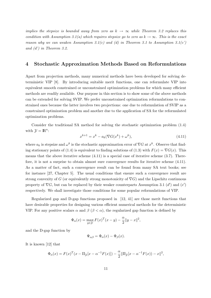implies the stepsize is bounded away from zero as  $k \to \infty$  while Theorem 3.2 replaces this condition with Assumption 3.1(a) which requires stepsize go to zero as  $k \to \infty$ . This is the exact reason why we can weaken Assumption 3.1(c) and (d) in Theorem 3.1 to Assumption 3.1(c') and (d') in Theorem 3.2.

## 4 Stochastic Approximation Methods Based on Reformulations

Apart from projection methods, many numerical methods have been developed for solving deterministic VIP [8]. By introducing suitable merit functions, one can reformulate VIP into equivalent smooth constrained or unconstrained optimization problems for which many efficient methods are readily available. Our purpose in this section is to show some of the above methods can be extended for solving SVIP. We prefer unconstrained optimization reformulations to constrained ones because the latter involves two projections: one due to reformulation of SVIP as a constrained optimization problem and another due to the application of SA for the reformulated optimization problems.

Consider the traditional SA method for solving the stochastic optimization problem (1.4) with  $\mathcal{Y} = \mathbb{R}^n$ :

$$
x^{k+1} = x^k - a_k(\nabla G(x^k) + \omega^k),
$$
\n(4.11)

where  $a_k$  is stepsize and  $\omega^k$  is the stochastic approximation error of  $\nabla G$  at  $x^k$ . Observe that finding stationary points of (1.4) is equivalent to finding solutions of (1.3) with  $F(x) = \nabla G(x)$ . This means that the above iterative scheme  $(4.11)$  is a special case of iterative scheme  $(3.7)$ . Therefore, it is not a surprise to obtain almost sure convergence results for iterative scheme (4.11). As a matter of fact, such a convergence result can be found from many SA text books; see for instance [27, Chapter 5]. The usual conditions that ensure such a convergence result are strong convexity of G (or equivalently strong monotonicity of  $\nabla G$ ) and the Lipschitz continuous property of  $\nabla G$ , but can be replaced by their weaker counterparts Assumption 3.1 (d') and (e') respectively. We shall investigate those conditions for some popular reformulations of VIP.

Regularized gap and D-gap functions proposed in [12, 41] are those merit functions that have desirable properties for designing various efficient numerical methods for the deterministic VIP. For any positive scalars  $\alpha$  and  $\beta$  ( $\beta < \alpha$ ), the regularized gap function is defined by

$$
\Phi_{\alpha}(x) = \max_{y \in \mathcal{Y}} F(x)^{T} (x - y) - \frac{\alpha}{2} \|y - x\|^{2},
$$

and the D-gap function by

$$
\Psi_{\alpha\beta} = \Phi_{\alpha}(x) - \Phi_{\beta}(x).
$$

It is known [12] that

$$
\Phi_{\alpha}(x) = F(x)^{T} (x - \Pi_{\mathcal{Y}}[x - \alpha^{-1} F(x)]) - \frac{\alpha}{2} \|\Pi_{\mathcal{Y}}[x - \alpha^{-1} F(x)) - x\|^{2},
$$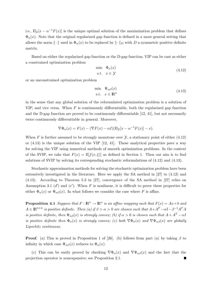i.e.,  $\Pi_{\mathcal{Y}}[x - \alpha^{-1}F(x)]$  is the unique optimal solution of the maximization problem that defines  $\Phi_{\alpha}(x)$ . Note that the original regularized gap function is defined in a more general setting that allows the norm  $\|\cdot\|$  used in  $\Phi_{\alpha}(x)$  to be replaced by  $\|\cdot\|_D$  with D a symmetric positive definite matrix.

Based on either the regularized gap function or the D-gap function, VIP can be cast as either a constrained optimization problem

$$
\min_{\Phi_{\alpha}} \Phi_{\alpha}(x) \n\text{s.t.} \quad x \in \mathcal{Y}
$$
\n(4.12)

or an unconstrained optimization problem

$$
\begin{array}{ll}\n\text{min} & \Psi_{\alpha\beta}(x) \\
\text{s.t.} & x \in \mathbb{R}^n\n\end{array}\n\tag{4.13}
$$

in the sense that any global solution of the reformulated optimization problem is a solution of VIP, and vice versa. When  $F$  is continuously differentiable, both the regularized gap function and the D-gap function are proved to be continuously differentiable [12, 41], but not necessarily twice continuously differentiable in general. Moreover,

$$
\nabla \Phi_{\alpha}(x) = F(x) - (\nabla F(x) - \alpha I)(\Pi_{\mathcal{Y}}[x - \alpha^{-1} F(x)] - x).
$$

When F is further assumed to be strongly monotone over  $\mathcal{Y}$ , a stationary point of either (4.12) or (4.13) is the unique solution of the VIP [12, 41]. Those analytical properties pave a way for solving the VIP using numerical methods of smooth optimization problems. In the context of the SVIP, we take that  $F(x) = \mathbb{E}[f(x,\xi)]$  as defined in Section 1. Then our aim is to find solutions of SVIP by solving its corresponding stochastic reformulations of (4.12) and (4.13).

Stochastic approximation methods for solving the stochastic optimization problem have been extensively investigated in the literature. Here we apply the SA method in [27] to (4.12) and (4.13). According to Theorem 5.3 in [27], convergence of the SA method in [27] relies on Assumption 3.1  $(d')$  and  $(e')$ . When F is nonlinear, it is difficult to prove these properties for either  $\Phi_{\alpha}(x)$  or  $\Psi_{\alpha\beta}(x)$ . In what follows we consider the case where F is affine.

**Proposition 4.1** Suppose that  $F: \mathbb{R}^n \to \mathbb{R}^n$  is an affine mapping such that  $F(x) = Ax + b$  and  $A \in \mathbb{R}^{n \times n}$  is positive definite. Then (a) if  $\beta > \alpha > 0$  are chosen such that  $A + A^T - \alpha I - \beta^{-1} A^T A$ is positive definite, then  $\Psi_{\alpha\beta}(x)$  is strongly convex; (b) if  $\alpha > 0$  is chosen such that  $A + A^T - \alpha I$ is positive definite then  $\Phi_{\alpha}(x)$  is strongly convex; (c) both  $\nabla \Phi_{\alpha}(x)$  and  $\nabla \Psi_{\alpha\beta}(x)$  are globally Lipschitz continuous.

**Proof.** (a) This is proved in Proposition 1 of [26]. (b) follows from part (a) by taking  $\beta$  to infinity in which case  $\Psi_{\alpha\beta}(x)$  reduces to  $\Phi_{\alpha}(x)$ .

(c) This can be easily proved by checking  $\nabla \Phi_{\alpha}(x)$  and  $\nabla \Psi_{\alpha\beta}(x)$  and the fact that the projection operator is nonexpansive; see Proposition 2.1.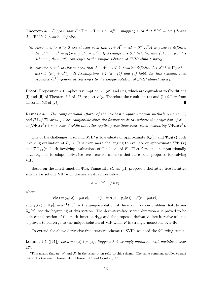**Theorem 4.1** Suppose that  $F: \mathbb{R}^n \to \mathbb{R}^n$  is an affine mapping such that  $F(x) = Ax + b$  and  $A \in \mathbb{R}^{n \times n}$  is positive definite.

- (a) Assume  $\beta > \alpha > 0$  are chosen such that  $A + A^{T} \alpha I \beta^{-1} A^{T} A$  is positive definite. Let  $x^{k+1} = x^k - a_k(\nabla \Psi_{\alpha\beta}(x^k) + w^k)$ . If Assumptions 3.1 (a), (b) and (c) hold for this scheme<sup>1</sup>, then  $\{x^k\}$  converges to the unique solution of SVIP almost surely.
- (b) Assume  $\alpha > 0$  is chosen such that  $A + A^T \alpha I$  is positive definite. Let  $x^{k+1} = \Pi_{\mathcal{Y}}[x^k$  $a_k(\nabla \Phi_\alpha(x^k) + w^k)].$  If Assumptions 3.1 (a), (b) and (c) hold, for this scheme, then sequence  $\{x^k\}$  generated converges to the unique solution of SVIP almost surely.

**Proof.** Proposition 4.1 implies Assumption 3.1  $(d')$  and  $(e')$ , which are equivalent to Conditions (i) and (ii) of Theorem 5.3 of [27] respectively. Therefore the results in (a) and (b) follow from Theorem 5.3 of [27].  $\blacksquare$ 

**Remark 4.1** The computational efforts of the stochastic approximation methods used in  $(a)$ and (b) of Theorem 4.1 are comparable since the former needs to evaluate the projection of  $x^k$  –  $a_k(\nabla \Phi_\alpha(x^k) + w^k)$  over Y while the latter applies projections twice when evaluating  $\nabla \Psi_{\alpha\beta}(x^k)$ .

One of the challenges in solving SVIP is to evaluate or approximate  $\Phi_{\alpha}(x)$  and  $\Psi_{\alpha\beta}(x)$  both involving evaluation of  $F(x)$ . It is even more challenging to evaluate or approximate  $\nabla \Phi_{\alpha}(x)$ and  $\nabla \Psi_{\alpha\beta}(x)$  both involving evaluations of Jacobians of F. Therefore, it is computationally advantageous to adopt derivative free iterative schemes that have been proposed for solving VIP.

Based on the merit function  $\Psi_{\alpha\beta}$ , Yamashita *et. al.* [41] propose a derivative free iterative scheme for solving VIP with the search direction below:

$$
d = r(x) + \rho s(x),
$$

where

$$
r(x) = y_{\alpha}(x) - y_{\beta}(x), \qquad s(x) = \alpha(x - y_{\alpha}(x)) - \beta(x - y_{\beta}(x)),
$$

and  $y_{\alpha}(x) = \Pi_{\mathcal{Y}}[x - \alpha^{-1}F(x)]$  is the unique solution of the maximization problem that defines  $\Phi_{\alpha}(x)$ ; see the beginning of this section. The derivative-free search direction d is proved to be a descent direction of the merit function  $\Psi_{\alpha\beta}$  and the proposed derivative-free iterative scheme is proved to converge to the unique solution of VIP when F is strongly monotone over  $\mathbb{R}^n$ .

To extend the above derivative-free iterative scheme to SVIP, we need the following result.

**Lemma 4.1** ([41]) Let  $d = r(x) + \rho s(x)$ . Suppose F is strongly monotone with modulus  $\sigma$  over  $\mathbb{R}^n$ .

<sup>&</sup>lt;sup>1</sup>This means that  $a_k$ ,  $\omega^k$  and  $\mathcal{F}_k$  in the assumption refer to this scheme. The same comment applies to part (b) of this theorem, Theorem 4.2, Theorem 5.1 and Corollary 5.1.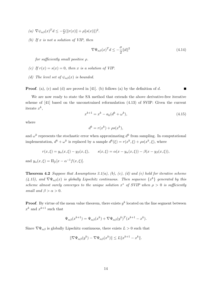- (a)  $\nabla \psi_{\alpha\beta}(x)^T d \leq -\frac{\sigma}{2} (\|r(x)\| + \rho \|s(x)\|)^2.$
- (b) If  $x$  is not a solution of VIP, then

$$
\nabla \Psi_{\alpha\beta}(x)^T d \le -\frac{\sigma}{2} ||d||^2 \tag{4.14}
$$

for sufficiently small positive ρ.

- (c) If  $r(x) = s(x) = 0$ , then x is a solution of VIP.
- (d) The level set of  $\psi_{\alpha\beta}(x)$  is bounded.

**Proof.** (a), (c) and (d) are proved in [41]. (b) follows (a) by the definition of  $d$ .

We are now ready to state the SA method that extends the above derivative-free iterative scheme of [41] based on the unconstrained reformulation (4.13) of SVIP: Given the current iterate  $x^k$ ,

$$
x^{k+1} = x^k - a_k(d^k + \omega^k),
$$
\n(4.15)

where

$$
d^k = r(x^k) + \rho s(x^k),
$$

and  $\omega^k$  represents the stochastic error when approximating  $d^k$  from sampling. In computational implementation,  $d^k + \omega^k$  is replaced by a sample  $d^k(\xi) = r(x^k, \xi) + \rho s(x^k, \xi)$ , where

$$
r(x,\xi) = y_{\alpha}(x,\xi) - y_{\beta}(x,\xi), \qquad s(x,\xi) = \alpha(x - y_{\alpha}(x,\xi)) - \beta(x - y_{\beta}(x,\xi)),
$$

and  $y_{\alpha}(x,\xi) = \Pi_{\mathcal{Y}}[x - \alpha^{-1}f(x,\xi)].$ 

**Theorem 4.2** Suppose that Assumptions 3.1(a), (b), (c), (d) and (e) hold for iterative scheme (4.15), and  $\nabla \Psi_{\alpha\beta}(x)$  is globally Lipschitz continuous. Then sequence  $\{x^k\}$  generated by this scheme almost surely converges to the unique solution  $x^*$  of SVIP when  $\rho > 0$  is sufficiently small and  $\beta > \alpha > 0$ .

**Proof.** By virtue of the mean value theorem, there exists  $y^k$  located on the line segment between  $x^k$  and  $x^{k+1}$  such that

$$
\Psi_{\alpha\beta}(x^{k+1}) = \Psi_{\alpha\beta}(x^k) + \nabla \Psi_{\alpha\beta}(y^k)^T (x^{k+1} - x^k).
$$

Since  $\nabla \Psi_{\alpha\beta}$  is globally Lipschitz continuous, there exists  $L > 0$  such that

$$
\|\nabla\Psi_{\alpha\beta}(y^k) - \nabla\Psi_{\alpha\beta}(x^k)\| \le L\|x^{k+1} - x^k\|.
$$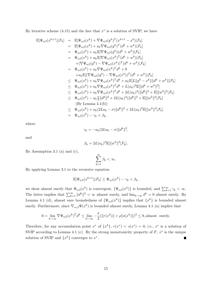By iterative scheme  $(4.15)$  and the fact that  $x^*$  is a solution of SVIP, we have

$$
\mathbb{E}[\Psi_{\alpha\beta}(x^{k+1})|\mathcal{F}_k] = \mathbb{E}[\Psi_{\alpha\beta}(x^k) + \nabla\Psi_{\alpha\beta}(y^k)^T(x^{k+1} - x^k)|\mathcal{F}_k]
$$
\n
$$
= \mathbb{E}[\Psi_{\alpha\beta}(x^k) + a_k\nabla\Psi_{\alpha\beta}(y^k)^T(d^k + w^k)|\mathcal{F}_k]
$$
\n
$$
= \Psi_{\alpha\beta}(x^k) + a_k\mathbb{E}[\nabla\Psi_{\alpha\beta}(y^k)(d^k + w^k)|\mathcal{F}_k]
$$
\n
$$
+ (\nabla\Psi_{\alpha\beta}(y^k) - \nabla\Psi_{\alpha\beta}(x^k)^T(d^k + w^k)|\mathcal{F}_k]
$$
\n
$$
+ (\nabla\Psi_{\alpha\beta}(y^k) - \nabla\Psi_{\alpha\beta}(x^k))^T(d^k + w^k)|\mathcal{F}_k]
$$
\n
$$
= \Psi_{\alpha\beta}(x^k) + a_k\nabla\Psi_{\alpha\beta}(x^k)^T d^k + 0
$$
\n
$$
+ a_k\mathbb{E}[(\nabla\Psi_{\alpha\beta}(y^k) - \nabla\Psi_{\alpha\beta}(x^k))^T(d^k + w^k)|\mathcal{F}_k]
$$
\n
$$
\leq \Psi_{\alpha\beta}(x^k) + a_k\nabla\Psi_{\alpha\beta}(x^k)^T d^k + a_k\mathbb{E}[L||y^k - x^k||||d^k + w^k|||\mathcal{F}_k]
$$
\n
$$
\leq \Psi_{\alpha\beta}(x^k) + a_k\nabla\Psi_{\alpha\beta}(x^k)^T d^k + L(a_k)^2\mathbb{E}[\|d^k + w^k\|^2]
$$
\n
$$
\leq \Psi_{\alpha\beta}(x^k) + a_k\nabla\Psi_{\alpha\beta}(x^k)^T d^k + 2L(a_k)^2(\|d^k\|^2 + \mathbb{E}[\|w^k\|^2|\mathcal{F}_k]
$$
\n
$$
\leq \Psi_{\alpha\beta}(x^k) - a_k\frac{\sigma}{2}\|d^k\|^2 + 2L(a_k)^2(\|d^k\|^2 + \mathbb{E}[\|w^k\|^2|\mathcal{F}_k
$$

where

$$
\gamma_k = -a_k(2La_k - \sigma)\|d^k\|^2,
$$

and

$$
\beta_k = 2L(a_k)^2 \mathbb{E}[\|w^k\|^2 | \mathcal{F}_k].
$$

By Assumption 3.1 (a) and (c),

$$
\sum_{k=1}^{\infty} \beta_k < \infty.
$$

By applying Lemma 3.1 to the recursive equation

$$
\mathbb{E}[\Psi_{\alpha\beta}(x^{k+1})|\mathcal{F}_k] \leq \Psi_{\alpha\beta}(x^k) - \gamma_k + \beta_k,
$$

we show almost surely that  $\Psi_{\alpha\beta}(x^k)$  is convergent,  $\{\Psi_{\alpha\beta}(x^k)\}\$ is bounded, and  $\sum_{k=1}^{\infty} \gamma_k < \infty$ . The latter implies that  $\sum_{k=1}^{\infty} ||d^k||^2 < \infty$  almost surely, and  $\lim_{k\to\infty} d^k = 0$  almost surely. By Lemma 4.1 (d), almost sure boundedness of  $\{\Psi_{\alpha\beta}(x^k)\}\$ implies that  $\{x^k\}$  is bounded almost surely. Furthermore, since  $\nabla_{\alpha,\beta}\Psi(x^k)$  is bounded almost surely, Lemma 4.1 (a) implies that

$$
0 = \lim_{k \to \infty} \nabla \Psi_{\alpha\beta}(x^k)^T d^k \le \lim_{k \to \infty} -\frac{\sigma}{2} (\|r(x^k)\| + \rho \|s(x^k)\|)^2 \le 0, \text{almost surely.}
$$

Therefore, for any accumulation point  $x^*$  of  $\{x^k\}$ ,  $r(x^*) = s(x^*) = 0$ , i.e.,  $x^*$  is a solution of SVIP according to Lemma 4.1 (c). By the strong monotonicity property of  $F, x^*$  is the unique solution of SVIP and  $\{x^k\}$  converges to  $x^*$ .  $\blacksquare$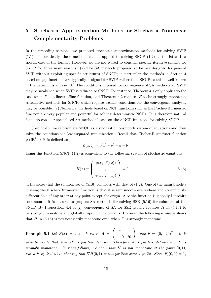# 5 Stochastic Approximation Methods for Stochastic Nonlinear Complementarity Problems

In the preceding sections, we proposed stochastic approximation methods for solving SVIP  $(1.1)$ . Theoretically, these methods can be applied to solving SNCP  $(1.2)$  as the latter is a special case of the former. However, we are motivated to consider specific iterative scheme for SNCP for three main reasons. (a) The SA methods proposed so far are designed for general SVIP without exploiting specific structures of SNCP; in particular the methods in Section 4 based on gap functions are typically designed for SVIP rather than SNCP as this is well known in the deterministic case. (b) The conditions imposed for convergence of SA methods for SVIP may be weakened when SVIP is reduced to SNCP. For instance, Theorem 4.1 only applies to the case when  $F$  is a linear affine function, and Theorem 4.2 requires  $F$  to be strongly monotone. Alternative methods for SNCP, which require weaker conditions for the convergence analysis, may be possible. (c) Numerical methods based on NCP functions such as the Fischer-Burmeister function are very popular and powerful for solving deterministic NCPs. It is therefore natural for us to consider specialized SA methods based on these NCP functions for solving SNCP.

Specifically, we reformulate SNCP as a stochastic nonsmooth system of equations and then solve the equations via least-squared minimization. Recall that Fischer-Burmeister function  $\phi : \mathbb{R}^2 \to \mathbb{R}$  is defined as

$$
\phi(a, b) = \sqrt{a^2 + b^2} - a - b.
$$

Using this function, SNCP (1.2) is equivalent to the following system of stochastic equations

$$
H(x) \equiv \begin{pmatrix} \phi(x_1, F_1(x)) \\ \vdots \\ \phi(x_n, F_n(x)) \end{pmatrix} = 0
$$
\n(5.16)

in the sense that the solution set of  $(5.16)$  coincides with that of  $(1.2)$ . One of the main benefits in using the Fischer-Burmeister function is that it is semismooth everywhere and continuously differentiable of any order at any point except the origin. Also the function is globally Lipschitz continuous. It is natural to propose SA methods for solving SSE (5.16) for solutions of the SNCP. By Proposition 4.4 of [2], convergence of SA for SSE usually requires  $H$  in (5.16) to be strongly monotone and globally Lipschitz continuous. However the following example shows that  $H$  in (5.16) is not necessarily monotone even when  $F$  is strongly monotone.

**Example 5.1** Let  $F(x) = Ax + b$  where  $A =$  $\left(\begin{array}{cc} 2 & 1 \\ -10 & 20 \end{array}\right)$ , and  $b = (0, -20)^T$ . It is easy to verify that  $A + A^T$  is positive definite. Therefore A is positive definite and F is strongly monotone. In what follows, we show that  $H$  is not monotone at the point  $(0, 1)$ , which is equivalent to showing that  $\nabla H(0,1)$  is not positive semi-definite. Since  $F_1(0,1) = 1$ ,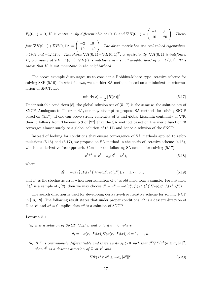$F_2(0,1) = 0$ , H is continuously differentiable at  $(0,1)$  and  $\nabla H(0,1) = \begin{pmatrix} -1 & 0 \\ 10 & -20 \end{pmatrix}$ . There-

fore  $\nabla H(0,1) + \nabla H(0,1)^T =$  $\left(\begin{array}{cc} -2 & 10 \\ 10 & -40 \end{array}\right)$ . The above matrix has two real valued eigenvalues: 0.4709 and  $-42.4709$ . This shows  $\nabla H(0,1) + \nabla H(0,1)^T$ , or equivalently,  $\nabla H(0,1)$  is indefinite. By continuity of  $\nabla H$  at  $(0,1)$ ,  $\nabla H(\cdot)$  is indefinite in a small neighborhood of point  $(0,1)$ . This shows that H is not monotone in the neighborhood.

The above example discourages us to consider a Robbins-Monro type iterative scheme for solving SSE (5.16). In what follows, we consider SA methods based on a minimization reformulation of SNCP. Let

$$
\min_{x} \Psi(x) \equiv \frac{1}{2} ||H(x)||^2.
$$
\n(5.17)

Under suitable conditions  $[8]$ , the global solution set of  $(5.17)$  is the same as the solution set of SNCP. Analogous to Theorem 4.1, one may attempt to propose SA methods for solving SNCP based on (5.17). If one can prove strong convexity of  $\Psi$  and global Lipschitz continuity of  $\nabla\Psi$ , then it follows from Theorem 5.3 of [27] that the SA method based on the merit function  $\Psi$ converges almost surely to a global solution of (5.17) and hence a solution of the SNCP.

Instead of looking for conditions that ensure convergence of SA methods applied to reformulations  $(5.16)$  and  $(5.17)$ , we propose an SA method in the spirit of iterative scheme  $(4.15)$ , which is a derivative-free approach. Consider the following SA scheme for solving  $(5.17)$ :

$$
x^{k+1} = x^k - a_k(d^k + \omega^k),
$$
\n(5.18)

where

$$
d_i^k = -\phi(x_i^k, F_i(x^k)) \nabla_b \phi(x_i^k, F_i(x^k)), i = 1, \cdots, n,
$$
\n(5.19)

and  $\omega^k$  is the stochastic error when approximation of  $d^k$  is obtained from a sample. For instance, if  $\xi^k$  is a sample of  $\xi(\theta)$ , then we may choose  $d^k + w^k = -\phi(x_i^k, f_i(x^k, \xi^k))\nabla_b\phi(x_i^k, f_i(x^k, \xi^k)).$ 

The search direction is used for developing derivative-free iterative scheme for solving NCP in [13, 19]. The following result states that under proper conditions,  $d^k$  is a descent direction of  $\Psi$  at  $x^k$  and  $d^k = 0$  implies that  $x^k$  is a solution of SNCP.

#### Lemma 5.1

(a) x is a solution of SNCP (1.2) if and only if  $d = 0$ , where

$$
d_i = -\phi(x_i, F_i(x))\nabla_b\phi(x_i, F_i(x)), i = 1, \cdots, n.
$$

(b) If F is continuously differentiable and there exists  $\sigma_k > 0$  such that  $d^T \nabla F(x^k) d \geq \sigma_k ||d||^2$ , then  $d^k$  is a descent direction of  $\Psi$  at  $x^k$  and

$$
\nabla \Psi(x^k)^T d^k \le -\sigma_k \|d^k\|^2. \tag{5.20}
$$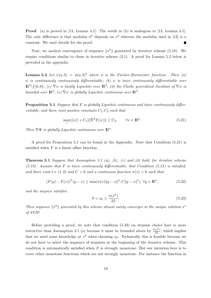Proof. (a) is proved in [13, Lemma 4.1]. The result in (b) is analogous to [13, Lemma 4.1]. The only difference is that modulus  $\sigma^k$  depends on  $x^k$  whereas the modulus used in [13] is a constant. We omit details for the proof. П

Next, we analyze convergence of sequence  $\{x^k\}$  generated by iterative scheme (5.18). We require conditions similar to those in iterative scheme (3.1). A proof for Lemma 5.2 below is provided in the appendix.

**Lemma 5.2** Let  $\psi(a,b) = \phi(a,b)^2$  where  $\phi$  is the Fischer-Burmeister function. Then (a)  $\psi$  is continuously continuously differentiable; (b)  $\psi$  is twice continuously differentiable over  $\mathbb{R}^2\setminus\{(0,0\};\;$  (c)  $\nabla\psi$  is locally Lipschitz over  $\mathbb{R}^2$ ; (d) the Clarke generalized Jacobian of  $\nabla\psi$  is bounded over  $\mathbb{R}^2$ ; (e)  $\nabla \psi$  is globally Lipschitz continuous over  $\mathbb{R}^2$ .

**Proposition 5.1** Suppose that F is globally Lipschitz continuous and twice continuously differentiable, and there exist positive constants  $C_1, C_2$  such that

$$
\max_{i}(\|x\| + C_1)\|\nabla^2 F_i(x)\| \le C_2, \qquad \forall x \in \mathbb{R}^n. \tag{5.21}
$$

Then  $\nabla \Psi$  is globally Lipschitz continuous over  $\mathbb{R}^n$ .

A proof for Proposition 5.1 can be found in the Appendix. Note that Condition (5.21) is satisfied when  $F$  is a linear affine function.

**Theorem 5.1** Suppose that Assumption 3.1 (a), (b), (c) and (d) hold, for iterative scheme  $(5.18)$ . Assume that F is twice continuously differentiable, that Condition  $(5.21)$  is satisfied, and there exist  $t \in (1,2)$  and  $C > 0$  and a continuous function  $\sigma(x) > 0$  such that

$$
(F(y) - F(x))^{T} (y - x) \ge \min(\sigma(x) \|y - x\|^{2}, C \|y - x\|^{t}), \ \forall y \in \mathbb{R}^{n},
$$
\n(5.22)

and the stepsize satisfies

$$
0 < a_k \le \frac{\sigma(x^k)}{2L}.\tag{5.23}
$$

Then sequence  $\{x^k\}$  generated by this scheme almost surely converges to the unique solution  $x^*$ of SVIP.

Before providing a proof, we note that condition (5.23) on stepsize choice here is more restrictive than Assumption 3.1 (a) because it must be bounded above by  $\frac{\sigma(x^k)}{2L}$  $\frac{(x^{n})}{2L}$ , which implies that we need some knowledge at  $x^k$  when choosing  $a_k$ . Technically this is feasible because we do not have to select the sequence of stepsizes at the beginning of the iterative scheme. This condition is automatically satisfied when  $F$  is strongly monotone. But our intention here is to cover other monotone functions which are not strongly monotone. For instance the function in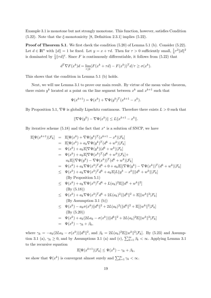Example 3.1 is monotone but not strongly monotone. This function, however, satisfies Condition (5.22). Note that the  $\xi$ -monotonicity [8, Definition 2.3.1] implies (5.22).

Proof of Theorem 5.1. We first check the condition  $(5.20)$  of Lemma 5.1 (b). Consider (5.22). Let  $d \in \mathbb{R}^n$  with  $||d|| = 1$  be fixed. Let  $y = x + \tau d$ . Then for  $\tau > 0$  sufficiently small,  $\frac{1}{4}\tau^2||d||^2$ is dominated by  $\frac{1}{4}||\tau d||^t$ . Since F is continuously differentiable, it follows from (5.22) that

$$
d^T \nabla F(x^k) d = \lim_{\tau \downarrow 0} (F(x^k + \tau d) - F(x^k))^T d/\tau \ge \sigma(x^k).
$$

This shows that the condition in Lemma 5.1 (b) holds.

Next, we will use Lemma 3.1 to prove our main result. By virtue of the mean value theorem, there exists  $y^k$  located at a point on the line segment between  $x^k$  and  $x^{k+1}$  such that

$$
\Psi(x^{k+1}) = \Psi(x^k) + \nabla \Psi(y^k)^T (x^{k+1} - x^k).
$$

By Proposition 5.1,  $\nabla\Psi$  is globally Lipschitz continuous. Therefore there exists  $L > 0$  such that

$$
\|\nabla\Psi(y^k) - \nabla\Psi(x^k)\| \le L\|x^{k+1} - x^k\|.
$$

By iterative scheme  $(5.18)$  and the fact that  $x^*$  is a solution of SNCP, we have

$$
\mathbb{E}[\Psi(x^{k+1})|\mathcal{F}_k] = \mathbb{E}[\Psi(x^k) + \nabla\Psi(y^k)^T(x^{k+1} - x^k)|\mathcal{F}_k] \n= \mathbb{E}[\Psi(x^k) + a_k\nabla\Psi(y^k)^T(d^k + w^k)|\mathcal{F}_k] \n= \Psi(x^k) + a_k\mathbb{E}[\nabla\Psi(y^k)(d^k + w^k)|\mathcal{F}_k] + \n a_k\mathbb{E}[(\nabla\Psi(y^k) - \nabla\Psi(x^k)^T(d^k + w^k)|\mathcal{F}_k] + \n a_k\mathbb{E}[(\nabla\Psi(y^k) - \nabla\Psi(x^k))^T(d^k + w^k)|\mathcal{F}_k] \n= \Psi(x^k) + a_k\nabla\Psi(x^k)^Td^k + 0 + a_k\mathbb{E}[(\nabla\Psi(y^k) - \nabla\Psi(x^k))^T(d^k + w^k)|\mathcal{F}_k] \n(By \text{ Proposition 5.1}) \n\leq \Psi(x^k) + a_k\nabla\Psi(x^k)^Td^k + L(a_k)^2\mathbb{E}[\|d^k + w^k\|^2] \n(By (5.18)) \n\leq \Psi(x^k) + a_k\nabla\Psi(x^k)^Td^k + 2L(a_k)^2(\|d^k\|^2 + \mathbb{E}[\|w^k\|^2|\mathcal{F}_k] \n(By \text{ Assumption 3.1 (b)}) \n\leq \Psi(x^k) - a_k\sigma(x^k)\|d^k\|^2 + 2L(a_k)^2(\|d^k\|^2 + \mathbb{E}[\|w^k\|^2|\mathcal{F}_k] \n(By (5.20)) \n= \Psi(x^k) - a_k\sigma(x^k)\|d^k\|^2 + 2L(a_k)^2(\|d^k\|^2 + \mathbb{E}[\|w^k\|^2|\mathcal{F}_k] \n(By (5.20)) \n= \Psi(x^k) - \gamma_k + \beta_k,
$$

where  $\gamma_k = -a_k(2La_k - \sigma(x^k))||d^k||^2$ , and  $\beta_k = 2L(a_k)^2\mathbb{E}[||w^k||^2|\mathcal{F}_k]$ . By (5.23) and Assumption 3.1 (a),  $\gamma_k \ge 0$ , and by Assumptions 3.1 (a) and (c),  $\sum_{k=1}^{\infty} \beta_k < \infty$ . Applying Lemma 3.1 to the recursive equation

$$
\mathbb{E}[\Psi(x^{k+1})|\mathcal{F}_k] \leq \Psi(x^k) - \gamma_k + \beta_k,
$$

we show that  $\Psi(x^k)$  is convergent almost surely and  $\sum_{k=1}^{\infty} \gamma_k < \infty$ .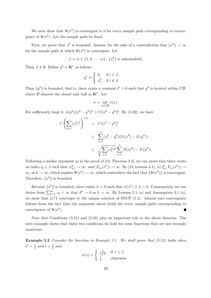We next show that  $\Psi(x^k)$  is convergent to 0 for every sample path corresponding to convergence of  $\Psi(x^k)$ . Let the sample path be fixed.

First, we prove that  $x^k$  is bounded. Assume for the sake of a contradiction that  $||x^k|| \to \infty$ for the sample path at which  $\Psi(x^k)$  is convergent. Let

$$
J \equiv \{i \in \{1, 2, \cdots, n\} : \{x_i^k\} \text{ is unbounded}\}.
$$

Then  $J \neq \emptyset$ . Define  $y^k \in \mathbb{R}^n$  as follows

$$
y_i^k \equiv \begin{cases} 0, & \text{if } i \in J, \\ x_i^k, & \text{if } i \notin J. \end{cases}
$$

Then  $\{y^k\}$  is bounded, that is, there exists a constant  $\bar{C} > 0$  such that  $y^k$  is located within  $\bar{C}\mathcal{B}$ , where  $\mathcal B$  denotes the closed unit ball in  $\mathbb R^n$ . Let

$$
\sigma = \inf_{x \in \bar{C}\mathcal{B}} \sigma(x).
$$

For sufficiently large k,  $\sigma(y^k) \|x^k - y^k\|^2 > C \|x^k - y^k\|^2$ . By (5.22), we have

$$
C\left(\sum_{i\in J}(x_i^k)^2\right)^{t/2} = C\|x^k - y^k\|^t
$$
  
\n
$$
\leq \sum_{i=1}^n (x_i^k - y_i^k)(F_i(x^k) - F_i(y^k))
$$
  
\n
$$
\leq \sqrt{\sum_{i\in J}(x_i^k)^2} \sum_{i=1}^n |F_i(x^k) - F_i(y^k)|.
$$

Following a similar argument as in the proof of [13, Theorem 3.2], we can prove that there exists an index  $i_0 \in J$  such that  $|x_{i_0}^k| \to \infty$ , and  $|F_{i_0}(x^k)| \to \infty$ . By [13, Lemma 3.1],  $\psi(x_{i_0}^k, F_{i_0}(x^k)) \to$  $\infty$ , as  $k \to \infty$ , which implies  $\Psi(x^k) \to \infty$ , which contradicts the fact that  $\{\Psi(x^k)\}\$ is convergent. Therefore,  $\{x^k\}$  is bounded.

Because  $\{x^k\}$  is bounded, there exists  $\hat{\sigma} > 0$  such that  $\sigma(x^k) \geq \hat{\sigma} > 0$ . Consequently we can derive from  $\sum_{k=1}^{\infty} \gamma_k < \infty$  that  $d^k \to 0$  as  $k \to \infty$ . By Lemma 5.1 (a) and Assumption 3.1 (a), we show that  $\{x^k\}$  converges to the unique solution of SNCP (1.2). Almost sure convergence follows from the fact that the argument above holds for every sample path corresponding to convergence of  $\Psi(x^k)$ .

Note that Conditions (5.21) and (5.22) play an important role in the above theorem. The next example shows that these two conditions do hold for some functions that are not strongly monotone.

Example 5.2 Consider the function in Example 3.1. We shall prove that (5.22) holds when  $C=\frac{1}{4}$  $rac{1}{4}$  and  $t = \frac{3}{2}$  $rac{3}{2}$  and

$$
\sigma(x) = \begin{cases} \frac{1}{4\sqrt{x}} & \text{if } x \ge 1, \\ \frac{1}{4} & \text{otherwise.} \end{cases}
$$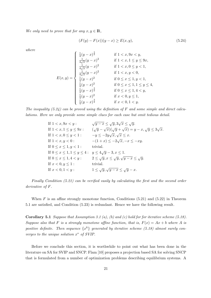We only need to prove that for any  $x, y \in \mathbb{R}$ ,

$$
(F(y) - F(x))(y - x) \ge E(x, y),
$$
\n(5.24)

where

$$
E(x,y) = \begin{cases} \frac{1}{4}(y-x)^{\frac{3}{2}} & \text{if } 1 < x, 9x < y, \\ \frac{1}{4\sqrt{x}}(y-x)^2 & \text{if } 1 < x, 1 \le y \le 9x, \\ \frac{1}{4\sqrt{x}}(y-x)^2 & \text{if } 1 < x, 0 \le y < 1, \\ \frac{1}{4\sqrt{x}}(y-x)^2 & \text{if } 1 < x, y < 0, \\ \frac{1}{4}(y-x)^2 & \text{if } 0 \le x \le 1, y < 1, \\ \frac{1}{4}(y-x)^2 & \text{if } 0 \le x \le 1, 1 \le y \le 4, \\ \frac{1}{4}(y-x)^{\frac{3}{2}} & \text{if } 0 \le x \le 1, 4 < y, \\ \frac{1}{4}(y-x)^2 & \text{if } x < 0, y \le 1, \\ \frac{1}{4}(y-x)^{\frac{3}{2}} & \text{if } x < 0, 1 < y. \end{cases}
$$

The inequality  $(5.24)$  can be proved using the definition of F and some simple and direct calculations. Here we only provide some simple clues for each case but omit tedious detail.

| If $1 < x, 9x < y$ :                | $\sqrt{y-x} \leq \sqrt{y}, 3\sqrt{x} \leq \sqrt{y}.$                          |
|-------------------------------------|-------------------------------------------------------------------------------|
| If $1 < x, 1 \le y \le 9x$ :        | $(\sqrt{y} - \sqrt{x})(\sqrt{y} + \sqrt{x}) = y - x, \sqrt{y} \le 3\sqrt{x}.$ |
| If $1 < x, 0 \le y < 1$ :           | $-y \leq -2y\sqrt{x}, \sqrt{x} \leq x.$                                       |
| If $1 < x, y < 0$ :                 | $-(1+x) \leq -2\sqrt{x}, -x \leq -xy.$                                        |
| If $0 \le x \le 1, y < 1$ :         | trivial.                                                                      |
| If $0 \le x \le 1, 1 \le y \le 4$ : | $y \leq 4\sqrt{y} - 3, x \leq 1.$                                             |
| If $0 \le x \le 1, 4 < y$ :         | $2 \leq \sqrt{y}, x \leq \sqrt{y}, \sqrt{y-x} \leq \sqrt{y}.$                 |
| If $x < 0, y \le 1$ :               | trivial.                                                                      |
| If $x < 0, 1 < y$ :                 | $1 \leq \sqrt{y}, \sqrt{y-x} \leq \sqrt{y-x}.$                                |

Finally Condition (5.21) can be verified easily by calculating the first and the second order derivative of F.

When  $F$  is an affine strongly monotone function, Conditions  $(5.21)$  and  $(5.22)$  in Theorem 5.1 are satisfied, and Condition (5.23) is redundant. Hence we have the following result.

**Corollary 5.1** Suppose that Assumption 3.1 (a), (b) and (c) hold for for iterative scheme  $(5.18)$ . Suppose also that F is a strongly monotone affine function, that is,  $F(x) = Ax + b$  where A is positive definite. Then sequence  $\{x^k\}$  generated by iterative scheme (5.18) almost surely converges to the unique solution  $x^*$  of SVIP.

Before we conclude this section, it is worthwhile to point out what has been done in the literature on SA for SVIP and SNCP. Flam [10] proposes a projection based SA for solving SNCP that is formulated from a number of optimization problems describing equilibrium systems. A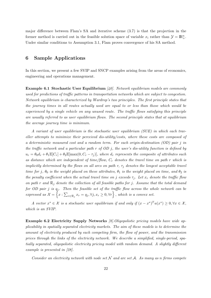major difference between Flam's SA and iterative scheme (3.7) is that the projection in the former method is carried out in the feasible solution space of variable  $x_i$  rather than  $\mathcal{Y} = \mathbb{R}^n_+$ . Under similar conditions to Assumption 3.1, Flam proves convergence of his SA method.

# 6 Sample Applications

In this section, we present a few SVIP and SNCP examples arising from the areas of economics, engineering and operations management.

**Example 6.1 Stochastic User Equilibrium**  $[40]$ . Network equilibrium models are commonly used for predictions of traffic patterns in transportation networks which are subject to congestion. Network equilibrium is characterized by Wardrop's two principles. The first principle states that the journey times in all routes actually used are equal to or less than those which would be experienced by a single vehicle on any unused route. The traffic flows satisfying this principle are usually referred to as user equilibrium flows. The second principle states that at equilibrium the average journey time is minimum.

A variant of user equilibrium is the stochastic user equilibrium (SUE) in which each traveller attempts to minimize their perceived dis-utility/costs, where these costs are composed of a deterministic measured cost and a random term. For each origin-destination  $OD$  pair j in the traffic network and a particular path r of OD j, the user's dis-utility function is defined by  $u_r = \theta_0 d_r + \theta_1 \mathbb{E}[C_r] + \theta_2 \mathbb{E}[\max(0, C_r - \tau_i)],$  where  $d_r$  represents the composite of attributes such as distance which are independent of time/flow,  $C_r$  denotes the travel time on path r which is implicitly determined by the flows on all arcs on path r,  $\tau_j$  denotes the longest acceptable travel time for j,  $\theta_0$  is the weight placed on these attributes,  $\theta_1$  is the weight placed on time, and  $\theta_2$  is the penalty coefficient when the actual travel time on j exceeds  $\tau_i$ . Let  $x_r$  denote the traffic flow on path r and  $\mathcal{R}_i$  denote the collection of all feasible paths for j. Assume that the total demand for OD pair j is  $q_j$ . Then the feasible set of the traffic flow across the whole network can be expressed as  $\mathcal{X} = \left\{ x : \sum_{r \in \mathcal{R}_j} x_r = q_j, \forall j, x_r \geq 0, \forall r \right\}$ , which is a convex set.

A vector  $x^* \in \mathcal{X}$  is a stochastic user equilibrium if and only if  $(x - x^*)^T u(x^*) \geq 0, \forall x \in \mathcal{X}$ , which is an SVIP.

Example 6.2 Electricity Supply Networks [8].Oligopolistic pricing models have wide applicability in spatially separated electricity markets. The aim of these models is to determine the amount of electricity produced by each competing firm, the flow of power, and the transmission prices through the links of the electricity network. We describe a simplified, single-period, spatially separated, oligopolistic electricity pricing model with random demand. A slightly different example is presented in [28].

Consider an electricity network with node set  $N$  and arc set  $A$ . As many as n firms compete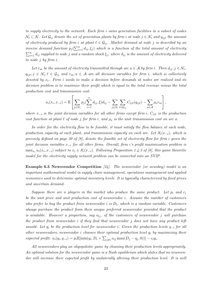to supply electricity to the network. Each firm i owns generation facilities in a subset of nodes  $\mathcal{N}_i \subset \mathcal{N}$ . Let  $\mathcal{G}_{ij}$  denote the set of generation plants by firm i at node  $j \in \mathcal{N}_i$  and  $q_{ij\ell}$  the amount of electricity produced by firm i at plant  $\ell \in \mathcal{G}_{ij}$ . Market demand at node j is described by an inverse demand function  $p_j(\sum_{i=1}^n d_{ij}, \xi_j)$  which is a function of the total amount of electricity  $\sum_{i=1}^n d_{ij}$  supplied to node j and a random shock  $\xi_j$ , where  $d_{ij}$  is the amount of electricity delivered to node j by firm i.

Let  $r_{ia}$  be the amount of electricity transmitted through arc  $a \in A$  by firm i. Then  $d_{ij}, j \in \mathcal{N}_i$ ,  $q_{ij\ell}, j \in \mathcal{N}_i, \ell \in \mathcal{G}_{ij}$  and  $r_{ia}, a \in \mathcal{A}$  are all decision variables for firm i, which is collectively denoted by  $x_i$ . Firm i needs to make a decision before demands at nodes are realized and its decision problem is to maximize their profit which is equal to the total revenue minus the total production cost and transmission cost:

$$
u_i(x_i, x_{-i}) = \mathbb{E}\left[\sum_{j \in \mathcal{N}_i} p_j(\sum_{i=1}^n d_{ij}, \xi) d_{ij} - \sum_{j \in \mathcal{N}_i} \sum_{\ell \in \mathcal{G}_{ij}} C_{ij\ell}(q_{ij\ell}) - \sum_{a \in \mathcal{A}} \rho_a r_{ia}\right],
$$

where  $x_{-i}$  is the joint decision variables for all other firms except firm i,  $C_{ij\ell}$  is the production cost function at plant  $\ell$  of node j for firm i, and  $\rho_a$  is the unit transmission cost on arc a.

In order for the electricity flow to be feasible, it must satisfy the flow balance at each node, production capacity at each plant, and transmission capacity on each arc. Let  $\mathcal{X}_i(x_{-i})$ , which is precisely defined on page 30 of [8], denote the feasible set of electricity flow for firm i given the joint decision variables x−<sup>i</sup> for all other firms. Overall, firm i's profit maximization problem is  $\max_{x_i} u_i(x_i, x_{-i})$  subject to  $x_i \in \mathcal{X}_i(x_{-i})$ . Following Proposition 1.4.3 of [8], this game theoretic model for the electricity supply network problem can be converted into an SVIP.

**Example 6.3 Newsvendor Competition** [24]. The newsvendor (or newsboy) model is an important mathematical model in supply chain management, operations management and applied economics used to determine optimal inventory levels. It is typically characterized by fixed prices and uncertain demand.

Suppose there are n players in the market who produce the same product. Let  $p_i$  and  $c_i$ be the unit price and unit production cost of newsvendor i. Assume the number of customers who prefer to buy the product from newsvendor i is  $D_i$ , which is a random variable. Customers always purchase the product from their unique preferred newsvendor provided that the product is available. However a proportion, say  $o_{ii}$ , of the customers of newsvendor j will purchase the product from newsvendor i if they find that newsvendor j does not have any product left unsold. Let  $q_i$  be the production level for newsvendor i. Given the production levels  $q_{-i}$  for all other newsvendors, newsvendor i chooses their optimal production level  $q_i$  by maximizing their expected profit:  $u_i(q_i, q_{-i}) = p_i \mathbb{E}[\min(q_i, D_i + \sum_{j \neq i} o_{ij} \max(D_j - q_j, 0))] - c_i q_i$ .

All newsvendors play an oligopolistic game by choosing their production levels appropriately. An optimal solution for the newsvendor game is a Nash equilibrium which states that no newsvendor will increase their expected profit by unilaterally altering their production level. It is well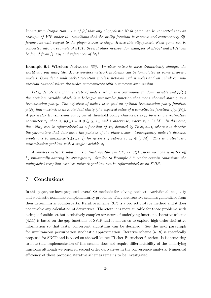known from Proposition 1.4.2 of [8] that any oligopolistic Nash game can be converted into an example of VIP under the conditions that the utility function is concave and continuously differentiable with respect to the player's own strategy. Hence this oligopolistic Nash game can be converted into an example of SVIP. Several other newsvendor examples of SNCP and SVIP can be found from  $\left[4, 23\right]$  and references of  $\left[24\right]$ .

Example 6.4 Wireless Networks [25]. Wireless networks have dramatically changed the world and our daily life. Many wireless network problems can be formulated as game theoretic models. Consider a multipacket reception wireless network with n nodes and an uplink communication channel where the nodes communicate with a common base station.

Let  $\xi_i$  denote the channel state of node i, which is a continuous random variable and  $p_i(\xi_i)$ the decision variable which is a Lebesgue measurable function that maps channel state  $\xi$  to a transmission policy. The objective of node i is to find an optimal transmission policy function  $p_i(\xi_i)$  that maximizes its individual utility (the expected value of a complicated function of  $p_i(\xi_i)$ ). A particular transmission policy called threshold policy characterizes  $p_i$  by a single real-valued parameter  $x_i$ , that is,  $p_i(\xi_i) = 0$  if  $\xi_i \leq x_i$ , and 1 otherwise, where  $x_i \in [0, M]$ . In this case, the utility can be reformulated as a function of  $x_i$ , denoted by  $T_i(x_i, x_{-i})$ , where  $x_{-i}$  denotes the parameters that determine the policies of the other nodes. Consequently node i's decision problem is to maximize  $T_i(x_i, x_{-i})$  for given  $x_{-i}$  subject to  $x_i \in [0, M]$ . This is a stochastic minimization problem with a single variable  $x_i$ .

A wireless network solution is a Nash equilibrium  $(x_1^*, \dots, x_n^*)$  where no node is better of by unilaterally altering its strategies  $x_i$ . Similar to Example 6.3, under certain conditions, the multipacket reception wireless network problem can be reformulated as an SVIP.

# 7 Conclusions

In this paper, we have proposed several SA methods for solving stochastic variational inequality and stochastic nonlinear complementarity problems. They are iterative schemes generalized from their deterministic counterparts. Iterative scheme (3.7) is a projection-type method and it does not involve any calculation of derivatives. Therefore it is more suitable for those problems with a simple feasible set but a relatively complex structure of underlying functions. Iterative scheme (4.11) is based on the gap functions of SVIP and it allows us to explore high-order derivative information so that faster convergent algorithms can be designed. See the next paragraph for simultaneous perturbation stochastic approximation. Iterative scheme (5.18) is specifically proposed for SNCP and is based on the well-known Fischer-Burmeister function. It is interesting to note that implementation of this scheme does not require differentiability of the underlying functions although we required second order derivatives in the convergence analysis. Numerical efficiency of those proposed iterative schemes remains to be investigated.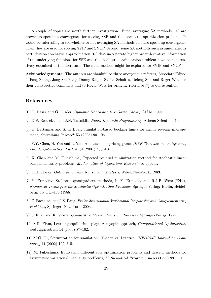A couple of topics are worth further investigation. First, averaging SA methods [30] are proven to speed up convergence for solving SSE and the stochastic optimization problem. It would be interesting to see whether or not averaging SA methods can also speed up convergence when they are used for solving SVIP and SNCP. Second, some SA methods such as simultaneous perturbation stochastic approximation [18] that incorporate higher order derivative information of the underlying functions for SSE and the stochastic optimization problem have been extensively examined in the literature. The same method might be explored for SVIP and SNCP.

Acknowledgements: The authors are thankful to three anonymous referees, Associate Editor Ji-Feng Zhang, Jong-Shi Pang, Danny Ralph, Stefan Scholtes, Defeng Sun and Roger Wets for their constructive comments and to Roger Wets for bringing reference [7] to our attention.

# References

- [1] T. Basar and G. Olsder, Dynamic Noncooperative Game Theory, SIAM, 1999.
- [2] D.P. Bertsekas and J.N. Tsitsiklis, Neuro-Dynamic Programming, Athena Scientific, 1996.
- [3] D. Bertsimas and S. de Boer, Simulation-based booking limits for airline revenue management, Operations Research 53 (2005) 90–106.
- [4] F.Y. Chen, H. Yan and L. Yao, A newsvendor pricing game, IEEE Transactions on Systems, Man & Cybernetics: Part A, 34 (2004) 450–456.
- [5] X. Chen and M. Fukushima, Expected residual minimization method for stochastic linear complementarity problems, Mathematics of Operations Research, to appear.
- [6] F.H. Clarke, Optimization and Nonsmooth Analysis, Wiley, New-York, 1983.
- [7] Y. Ermoliev, Stohastic quasigradient methods, In Y. Ermoliev and R.J-B. Wets (Eds.), Numerical Techniques for Stochastic Optimization Problems, Springer-Verlag: Berlin, Heidelberg, pp. 141–186 (1988).
- [8] F. Facchinei and J.S. Pang, Finite-dimensional Variational Inequalities and Complementarity Problems, Springer, New York, 2003.
- [9] J. Filar and K. Vrieze, Competitive Markov Decision Processes, Springer-Verlag, 1997.
- [10] S.D. Flam, Learning equilibrium play: A myopic approach, Computational Optimization and Applications 14 (1999) 87–102.
- [11] M.C. Fu, Optimization for simulation: Theory vs. Practice, INFORMS Journal on Computing 14 (2002) 192–215.
- [12] M. Fukushima, Equivalent differentiable optimization problems and descent methods for asymmetric variational inequality problems, Mathematical Programming 53 (1992) 99–110.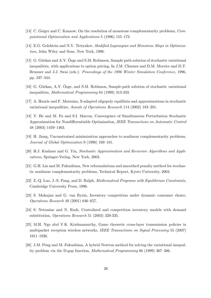- [13] C. Geiger and C. Kanzow, On the resolution of monotone complementarity problems, Computational Optimization and Applications 5 (1996) 155–173.
- [14] E.G. Golshtein and N.V. Tretyakov, Modified Lagrangian and Monotone Maps in Optimization, John Wiley and Sons, New York, 1996.
- [15] G. Gürkan and A.Y. Özge and S.M. Robinson, Sample path solution of stochastic variational inequalities, with applications to option pricing, In J.M. Charnes and D.M. Morrice and D.T. Brunner and J.J. Swai (eds.): *Proceedings of the 1996 Winter Simulation Conference*, 1996. pp. 337–344.
- [16] G. Gürkan, A.Y. Özge, and S.M. Robinson, Sample-path solution of stochastic variational inequalities, Mathematical Programming 84 (1999) 313-333.
- [17] A. Haurie and F. Moresino, S-adapted oligopoly equilibria and approximations in stochastic variational inequalities, Annals of Operations Research 114 (2002) 183–201.
- [18] Y. He and M. Fu and S.I. Marcus, Convergence of Simultaneous Perturbation Stochastic Approximation for Nondifferentiable Optimization, IEEE Transactions on Automatic Control 48 (2003) 1459–1463.
- [19] H. Jiang, Unconstrained minimization approaches to nonlinear complementarity problems, Journal of Global Optimization 9 (1996) 169–181.
- [20] H.J. Kushner and G. Yin, Stochastic Approximation and Recursive Algorithms and Applications, Springer-Verlag, New York, 2003.
- [21] G.H. Lin and M. Fukushima, New reformulations and smoothed penalty method for stochastic nonlinear complementarity problems, Technical Report, Kyoto University, 2003.
- [22] Z.-Q. Luo, J.-S. Pang, and D. Ralph, Mathematical Programs with Equilibrium Constraints, Cambridge University Press, 1996.
- [23] S. Mahajan and G. van Ryzin, Inventory competition under dynamic consumer choice, Operations Research 49 (2001) 646–657.
- [24] S. Netessine and N. Rudi, Centralized and competition inventory models with demand substitution, Operations Research 51 (2003) 329-335.
- [25] M.H. Ngo abd V.K. Krishnamurthy, Game theoretic cross-layer transmission policies in multipacket reception wireless networks, IEEE Transactions on Signal Processing 55 (2007) 1911–1926.
- [26] J.M. Peng and M. Fukushima, A hybrid Newton method for solving the variational inequality problem via the D-gap function, Mathematical Programming 86 (1999) 367–386.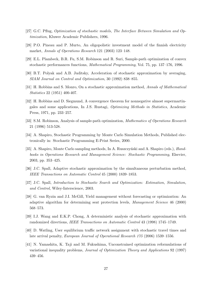- [27] G.C. Pflug, Optimization of stochastic models, The Interface Between Simulation and Optimization, Kluwer Academic Publishers, 1996.
- [28] P.O. Pineau and P. Murto, An oligopolistic investment model of the finnish electricity market, Annals of Operations Research 121 (2003) 123–148.
- [29] E.L. Plambeck, B.R. Fu, S.M. Robinson and R. Suri, Sample-path optimization of convex stochastic performances functions, Mathematical Programming, Vol. 75, pp. 137–176, 1996.
- [30] B.T. Polyak and A.B. Juditsky, Acceleration of stochastic approximation by averaging, SIAM Journal on Control and Optimization, 30 (1992) 838–855.
- [31] H. Robbins and S. Monro, On a stochastic approximation method, Annals of Mathematical Statistics 22 (1951) 400-407.
- [32] H. Robbins and D. Siegmund, A convergence theorem for nonnegative almost supermartingales and some applications, In J.S. Rustagi, Optimizing Methods in Statistics, Academic Press, 1971, pp. 233–257.
- [33] S.M. Robinson, Analysis of sample-path optimization, Mathematics of Operations Research 21 (1996) 513-528.
- [34] A. Shapiro, Stochastic Programming by Monte Carlo Simulation Methods, Published electronically in: Stochastic Programming E-Print Series, 2000.
- [35] A. Shapiro, Monte Carlo sampling methods, In A. Ruszczyński and A. Shapiro (eds.), Handbooks in Operations Research and Management Science: Stochastic Programming, Elsevier, 2003, pp. 353–425.
- [36] J.C. Spall, Adaptive stochastic approximation by the simultaneous perturbation method, IEEE Transactions on Automatic Control 45 (2000) 1839–1853.
- [37] J.C. Spall, Introduction to Stochastic Search and Optimization: Estimation, Simulation, and Control, Wiley-Interscience, 2003.
- [38] G. van Ryzin and J.I. McGill, Yield management without forecasting or optimization: An adaptive algorithm for determining seat protection levels, Management Science 46 (2000) 568–573.
- [39] I.J. Wang and E.K.P. Chong, A deterministic analysis of stochastic approximation with randomized directions, IEEE Transactions on Automatic Control 43 (1998) 1745–1749.
- [40] D. Watling, User equilibrium traffic network assignment with stochastic travel times and late arrival penalty, European Journal of Operational Research 175 (2006) 1539–1556.
- [41] N. Yamashita, K. Taji and M. Fukushima, Unconstrained optimization reformulations of variational inequality problems, Journal of Optimization Theory and Applications 92 (1997) 439–456.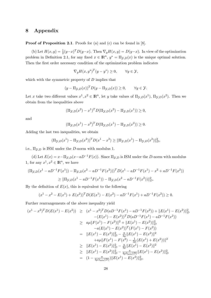# 8 Appendix

#### **Proof of Proposition 2.1.** Proofs for (a) and (c) can be found in [8].

(b) Let  $H(x, y) = \frac{1}{2}(y-x)^T D(y-x)$ . Then  $\nabla_y H(x, y) = D(y-x)$ . In view of the optimization problem in Definition 2.1, for any fixed  $x \in \mathbb{R}^n$ ,  $y^* = \Pi_{\mathcal{Y},D}(x)$  is the unique optimal solution. Then the first order necessary condition of the optimization problem indicates

$$
\nabla_y H(x, y^*)^T (y - y^*) \ge 0, \qquad \forall y \in \mathcal{Y},
$$

which with the symmetric property of  $D$  implies that

$$
(y - \Pi_{\mathcal{Y},D}(x))^T D(y - \Pi_{\mathcal{Y},D}(x)) \ge 0, \qquad \forall y \in \mathcal{Y}.
$$

Let x take two different values  $x^1, x^2 \in \mathbb{R}^n$ , let y take values of  $\Pi_{\mathcal{Y},D}(x^1)$ ,  $\Pi_{\mathcal{Y},D}(x^2)$ . Then we obtain from the inequalities above

$$
(\Pi_{\mathcal{Y},D}(x^2) - x^1)^T D(\Pi_{\mathcal{Y},D}(x^2) - \Pi_{\mathcal{Y},D}(x^1)) \ge 0,
$$

and

$$
(\Pi_{\mathcal{Y},D}(x^1) - x^2)^T D(\Pi_{\mathcal{Y},D}(x^1) - \Pi_{\mathcal{Y},D}(x^2)) \ge 0.
$$

Adding the last two inequalities, we obtain

$$
(\Pi_{\mathcal{Y},D}(x^1) - \Pi_{\mathcal{Y},D}(x^2))^T D(x^1 - x^2) \ge ||\Pi_{\mathcal{Y},D}(x^1) - \Pi_{\mathcal{Y},D}(x^2)||_D^2,
$$

i.e.,  $\Pi_{\mathcal{Y},D}$  is ISM under the *D*-norm with modulus 1.

(d) Let  $E(x) = x - \prod_{y,D} (x - aD^{-1}F(x))$ . Since  $\Pi_{y,D}$  is ISM under the D-norm with modulus 1, for any  $x^1, x^2 \in \mathbb{R}^n$ , we have

$$
\begin{aligned} (\Pi_{\mathcal{Y},D}(x^1 - aD^{-1}F(x^1)) - \Pi_{\mathcal{Y},D}(x^2 - aD^{-1}F(x^2)))^T D(x^1 - aD^{-1}F(x^1) - x^2 + aD^{-1}F(x^2)) \\ &\geq \|\Pi_{\mathcal{Y},D}(x^1 - aD^{-1}F(x^1)) - \Pi_{\mathcal{Y},D}(x^2 - aD^{-1}F(x^2))\|_D^2. \end{aligned}
$$

By the definition of  $E(x)$ , this is equivalent to the following

$$
(x1 - x2 - E(x1) + E(x2))T D(E(x1) - E(x2) - aD-1F(x1) + aD-1F(x2)) \ge 0.
$$

Further rearrangements of the above inequality yield

$$
(x^{1} - x^{2})^{T}D(E(x^{1}) - E(x^{2})) \geq (x^{1} - x^{2})^{T}D(aD^{-1}F(x^{1}) - aD^{-1}F(x^{2})) + ||E(x^{1}) - E(x^{2})||_{D}^{2}
$$
  
\n
$$
- (E(x^{1}) - E(x^{2}))^{T}D(aD^{-1}F(x^{1}) - aD^{-1}F(x^{2}))
$$
  
\n
$$
\geq a\mu ||F(x^{1}) - F(x^{2})||^{2} + ||E(x^{1}) - E(x^{2})||_{D}^{2}
$$
  
\n
$$
-a(E(x^{1}) - E(x^{2}))^{T}(F(x^{1}) - F(x^{2}))
$$
  
\n
$$
= ||E(x^{1}) - E(x^{2})||_{D}^{2} - \frac{a}{4\mu} ||E(x^{1}) - E(x^{2})||^{2}
$$
  
\n
$$
\geq ||E(x^{1}) - E(x^{2})||_{D}^{2} - \frac{a}{4\mu} ||E(x^{1}) - E(x^{2})||^{2}
$$
  
\n
$$
\geq ||E(x^{1}) - E(x^{2})||_{D}^{2} - \frac{a}{4\mu} ||E(x^{1}) - E(x^{2})||^{2}
$$
  
\n
$$
\geq ||E(x^{1}) - E(x^{2})||_{D}^{2} - \frac{a}{4\mu\lambda_{\min}(D)} ||E(x^{1}) - E(x^{2})||_{D}^{2}
$$
  
\n
$$
= (1 - \frac{a}{4\mu\lambda_{\min}(D)}) ||E(x^{1}) - E(x^{2})||_{D}^{2},
$$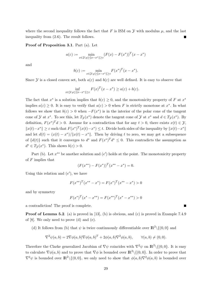where the second inequality follows the fact that F is ISM on  $\mathcal Y$  with modulus  $\mu$ , and the last inequality from (2.6). The result follows.

Proof of Proposition 3.1. Part (a). Let

$$
a(\varepsilon) := \min_{x \in \mathcal{Y} : \rho \ge ||x - x^*|| \ge \varepsilon} (F(x) - F(x^*))^T (x - x^*)
$$

and

$$
b(\varepsilon) := \min_{x \in \mathcal{Y} : \rho \ge ||x - x^*|| \ge \varepsilon} F(x^*)^T (x - x^*).
$$

Since Y is a closed convex set, both  $a(\varepsilon)$  and  $b(\varepsilon)$  are well defined. It is easy to observe that

$$
\inf_{x \in \mathcal{Y} : \rho \ge ||x - x^*|| \ge \varepsilon} F(x)^T (x - x^*) \ge a(\varepsilon) + b(\varepsilon).
$$

The fact that  $x^*$  is a solution implies that  $b(\varepsilon) \geq 0$ , and the monotonicity property of F at  $x^*$ implies  $a(\varepsilon) \geq 0$ . It is easy to verify that  $a(\varepsilon) > 0$  when F is strictly monotone at  $x^*$ . In what follows we show that  $b(\varepsilon) > 0$  when  $-F(x^*)$  is in the interior of the polar cone of the tangent cone of  $\mathcal Y$  at  $x^*$ . To see this, let  $T_{\mathcal Y}(x^*)$  denote the tangent cone of  $\mathcal Y$  at  $x^*$  and  $d \in T_{\mathcal Y}(x^*)$ . By definition,  $F(x^*)^T d > 0$ . Assume for a contradiction that for any  $t > 0$ , there exists  $x(t) \in \mathcal{Y}$ ,  $||x(t)-x^*|| \geq \varepsilon$  such that  $F(x^*)^T(x(t)-x^*) \leq t$ . Divide both sides of the inequality by  $||x(t)-x^*||$ and let  $d(t) = (x(t) - x^*)/||x(t) - x^*||$ . Then by driving t to zero, we may get a subsequence of  $\{d(t)\}\$  such that it converges to  $d^*$  and  $F(x^*)^T d^* \leq 0$ . This contradicts the assumption as  $d^* \in T_{\mathcal{Y}}(x^*)$ . This shows  $b(\varepsilon) > 0$ .

Part (b). Let  $x^{**}$  be another solution and  $(e')$  holds at the point. The monotonicity property of  $F$  implies that

$$
(F(x^{**}) - F(x^{*}))^{T}(x^{**} - x^{*}) = 0.
$$

Using this relation and  $(e')$ , we have

$$
F(x^{**})^T(x^{**}-x^*) = F(x^*)^T(x^{**}-x^*) > 0
$$

and by symmetry

$$
F(x^*)^T(x^* - x^{**}) = F(x^{**})^T(x^* - x^{**}) > 0
$$

a contradiction! The proof is complete.

**Proof of Lemma 5.2.** (a) is proved in [13], (b) is obvious, and (c) is proved in Example 7.4.9 of [8]. We only need to prove (d) and (e).

(d) It follows from (b) that  $\psi$  is twice continuously differentiable over  $\mathbb{R}^2 \setminus \{(0,0\)}$  and

$$
\nabla^2 \psi(a,b) = 2\nabla \phi(a,b)\nabla \phi(a,b)^T + 2\phi(a,b)\nabla^2 \phi(a,b), \qquad \forall (a,b) \neq (0,0).
$$

Therefore the Clarke generalized Jacobian of  $\nabla \psi$  coincides with  $\nabla^2 \psi$  on  $\mathbb{R}^2 \setminus \{(0,0\})$ . It is easy to calculate  $\nabla \phi(a, b)$  and to prove that  $\nabla \phi$  is bounded over  $\mathbb{R}^2 \setminus \{(0, 0\})$ . In order to prove that  $\nabla^2 \psi$  is bounded over  $\mathbb{R}^2 \setminus \{(0,0)\}\)$ , we only need to show that  $\phi(a,b)\nabla^2 \phi(a,b)$  is bounded over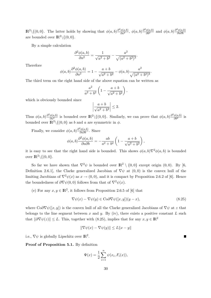$\mathbb{R}^2 \setminus \{(0,0\})$ . The latter holds by showing that  $\phi(a,b) \frac{\partial^2 \phi(a,b)}{\partial a^2}$ ,  $\phi(a,b) \frac{\partial^2 \phi(a,b)}{\partial b^2}$  and  $\phi(a,b) \frac{\partial^2 \phi(a,b)}{\partial a \partial b}$ ∂a∂b are bounded over  $\mathbb{R}^2 \setminus \{(0,0\}.$ 

By a simple calculation

$$
\frac{\partial^2 \phi(a, b)}{\partial a^2} = \frac{1}{\sqrt{a^2 + b^2}} - \frac{a^2}{\sqrt{(a^2 + b^2)^3}}.
$$

Therefore

$$
\phi(a,b)\frac{\partial^2 \phi(a,b)}{\partial a^2} = 1 - \frac{a+b}{\sqrt{a^2 + b^2}} - \phi(a,b)\frac{a^2}{\sqrt{(a^2 + b^2)^3}}
$$

.

The third term on the right hand side of the above equation can be written as

$$
\frac{a^2}{a^2+b^2}\left(1-\frac{a+b}{\sqrt{a^2+b^2}}\right),\,
$$

which is obviously bounded since

$$
\left|\frac{a+b}{\sqrt{a^2+b^2}}\right| \le 2.
$$

Thus  $\phi(a, b) \frac{\partial^2 \phi(a, b)}{\partial a^2}$  is bounded over  $\mathbb{R}^2 \setminus \{(0, 0\})$ . Similarly, we can prove that  $\phi(a, b) \frac{\partial^2 \phi(a, b)}{\partial b^2}$  is bounded over  $\mathbb{R}^2 \setminus \{(0,0\}$  as b and a are symmetric in  $\phi$ .

Finally, we consider  $\phi(a, b) \frac{\partial^2 \phi(a, b)}{\partial a \partial b}$ . Since

$$
\phi(a,b)\frac{\partial^2 \phi(a,b)}{\partial a \partial b} = -\frac{ab}{a^2 + b^2} \left(1 - \frac{a+b}{\sqrt{a^2 + b^2}}\right),\,
$$

it is easy to see that the right hand side is bounded. This shows  $\phi(a, b)\nabla^2\phi(a, b)$  is bounded over  $\mathbb{R}^2 \setminus \{(0,0\}.$ 

So far we have shown that  $\nabla^2 \psi$  is bounded over  $\mathbb{R}^2 \setminus \{0,0\}$  except origin  $(0,0)$ . By [6, Definition 2.6.1], the Clarke generalized Jacobian of  $\nabla \psi$  at  $(0,0)$  is the convex hull of the limiting Jacobians of  $\nabla^2 \psi(x)$  as  $x \to (0,0)$ , and it is compact by Proposition 2.6.2 of [6]. Hence the boundedness of  $\partial \nabla \psi(0,0)$  follows from that of  $\nabla^2 \psi(x)$ .

(e) For any  $x, y \in \mathbb{R}^2$ , it follows from Proposition 2.6.5 of [6] that

$$
\nabla \psi(x) - \nabla \psi(y) \in \text{Co}\partial \nabla \psi([x, y])(y - x), \tag{8.25}
$$

where  $\text{Co}\partial \nabla \psi([x, y])$  is the convex hull of all the Clarke generalized Jacobians of  $\nabla \psi$  at z that belongs to the line segment between x and y. By (iv), there exists a positive constant L such that  $\|\partial \nabla \psi(z)\| \leq L$ . This, together with (8.25), implies that for any  $x, y \in \mathbb{R}^2$ 

$$
\|\nabla\psi(x) - \nabla\psi(y)\| \le L\|x - y\|
$$

i.e.,  $\nabla \psi$  is globally Lipschitz over  $\mathbb{R}^2$ .

Proof of Proposition 5.1. By definition

$$
\Psi(x) = \frac{1}{2} \sum_{i=1}^{n} \psi(x_i, F_i(x)),
$$